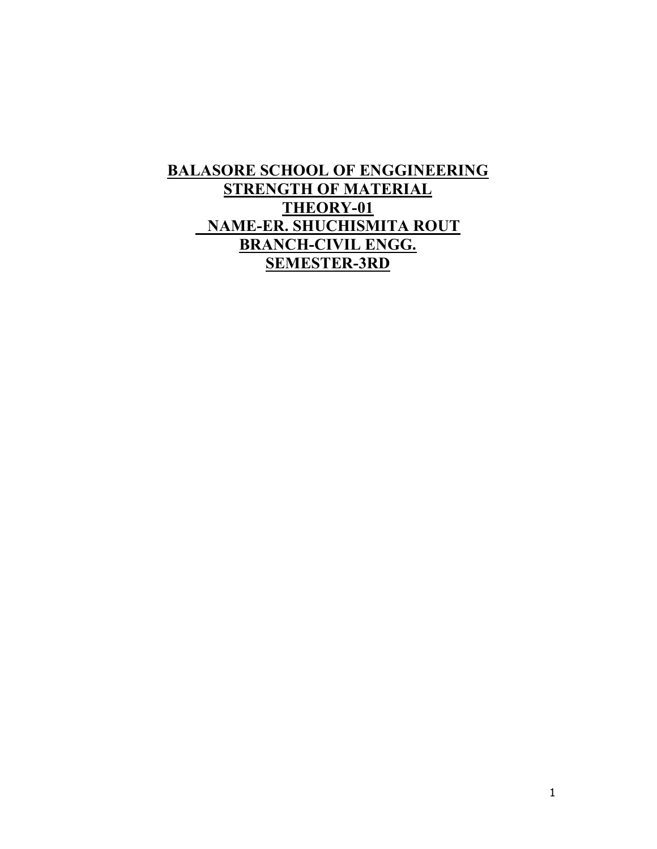### BALASORE SCHOOL OF ENGGINEERING STRENGTH OF MATERIAL THEORY-01 NAME-ER. SHUCHISMITA ROUT BRANCH-CIVIL ENGG. SEMESTER-3RD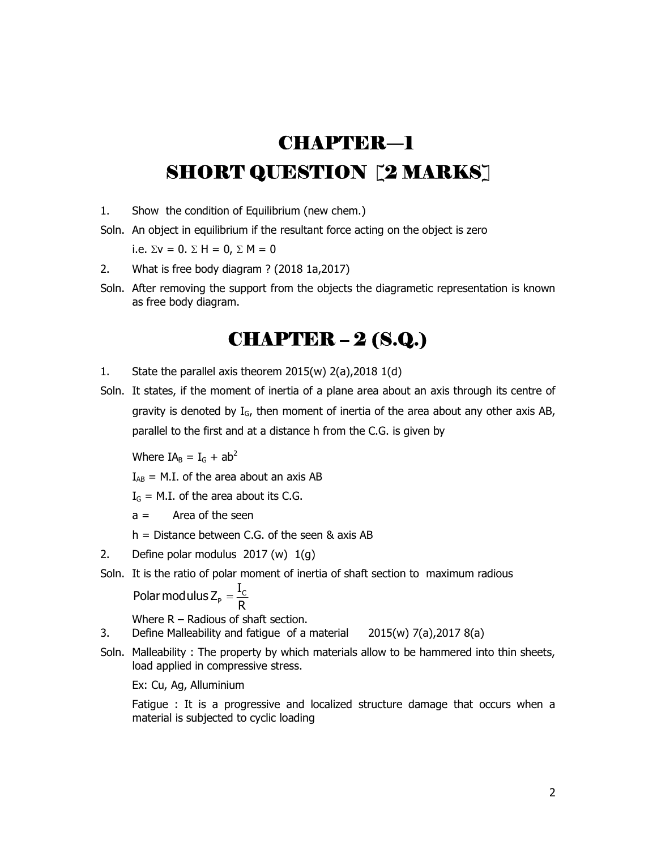# CHAPTER―1 SHORT QUESTION [2 MARKS]

- 1. Show the condition of Equilibrium (new chem.)
- Soln. An object in equilibrium if the resultant force acting on the object is zero

i.e.  $\Sigma v = 0$ .  $\Sigma H = 0$ .  $\Sigma M = 0$ 

- 2. What is free body diagram ? (2018 1a,2017)
- Soln. After removing the support from the objects the diagrametic representation is known as free body diagram.

## CHAPTER – 2 (S.Q.)

- 1. State the parallel axis theorem  $2015(w) 2(a)$ ,  $2018 1(d)$
- Soln. It states, if the moment of inertia of a plane area about an axis through its centre of gravity is denoted by  $I_G$ , then moment of inertia of the area about any other axis AB, parallel to the first and at a distance h from the C.G. is given by

Where  $IA<sub>B</sub> = I<sub>G</sub> + ab<sup>2</sup>$ 

 $I_{AB}$  = M.I. of the area about an axis AB

 $I_G$  = M.I. of the area about its C.G.

 $a =$  Area of the seen

h = Distance between C.G. of the seen & axis AB

- 2. Define polar modulus 2017 (w) 1(g)
- Soln. It is the ratio of polar moment of inertia of shaft section to maximum radious

 $P = \frac{1}{nC}$ Polar modulus Z<sub>P</sub> =  $\frac{I_{0}}{I_{0}}$ R

Where R – Radious of shaft section.

3. Define Malleability and fatigue of a material 2015(w) 7(a),2017 8(a)

Soln. Malleability : The property by which materials allow to be hammered into thin sheets, load applied in compressive stress.

Ex: Cu, Ag, Alluminium

 Fatigue : It is a progressive and localized structure damage that occurs when a material is subjected to cyclic loading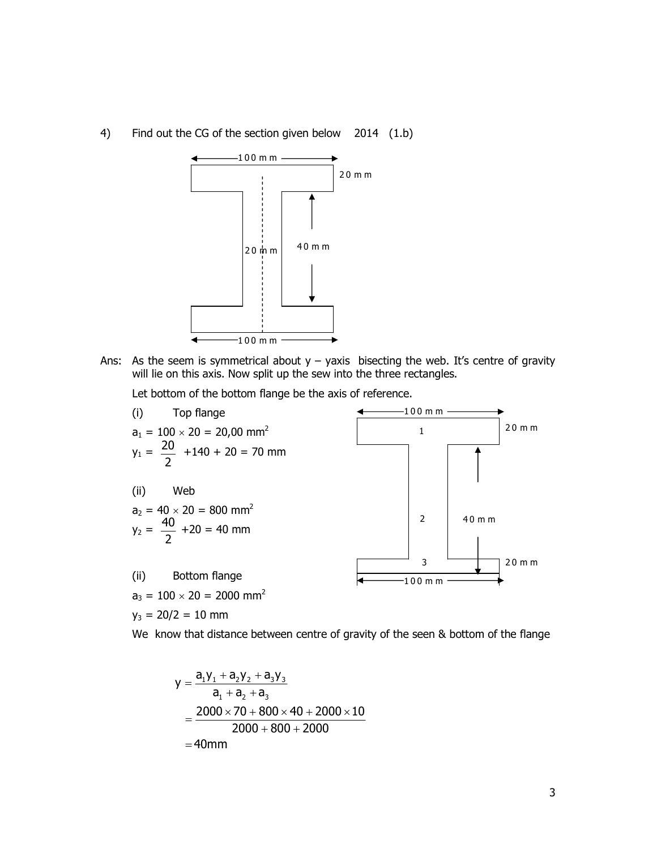4) Find out the CG of the section given below 2014 (1.b)



Ans: As the seem is symmetrical about  $y - y$  axis bisecting the web. It's centre of gravity will lie on this axis. Now split up the sew into the three rectangles.

Let bottom of the bottom flange be the axis of reference.



We know that distance between centre of gravity of the seen & bottom of the flange

$$
y = \frac{a_1y_1 + a_2y_2 + a_3y_3}{a_1 + a_2 + a_3}
$$
  
= 
$$
\frac{2000 \times 70 + 800 \times 40 + 2000 \times 10}{2000 + 800 + 2000}
$$
  
= 40mm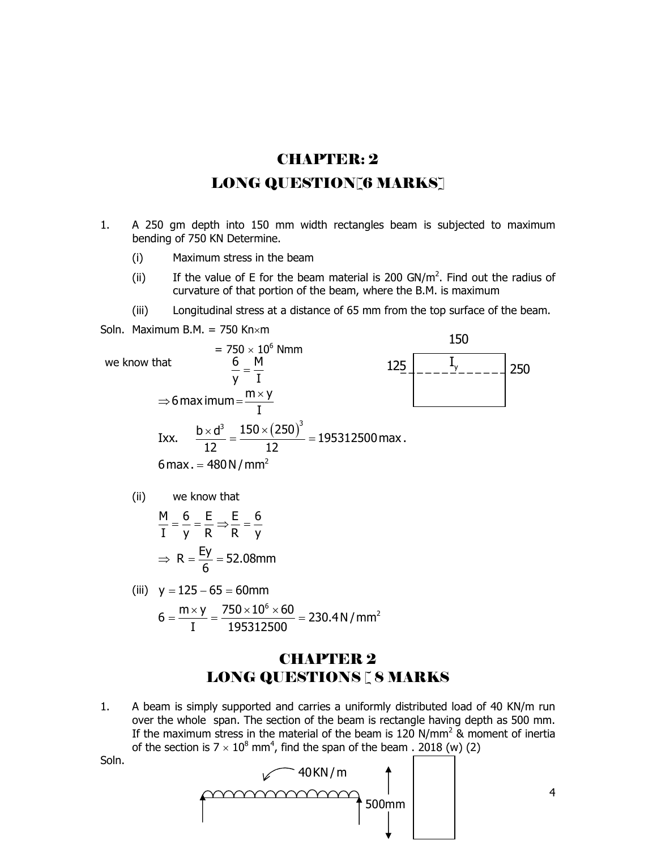## CHAPTER: 2 LONG QUESTION [6 MARKS]

- 1. A 250 gm depth into 150 mm width rectangles beam is subjected to maximum bending of 750 KN Determine.
	- (i) Maximum stress in the beam
- (ii) If the value of E for the beam material is 200 GN/ $m<sup>2</sup>$ . Find out the radius of curvature of that portion of the beam, where the B.M. is maximum
	- (iii) Longitudinal stress at a distance of 65 mm from the top surface of the beam.

Soln. Maximum B.M. =  $750$  Kn $\times$ m



$$
6 = \frac{m \times y}{I} = \frac{750 \times 10^6 \times 60}{195312500} = 230.4 N/mm^2
$$

#### CHAPTER 2 LONG QUESTIONS [ 8 MARKS

1. A beam is simply supported and carries a uniformly distributed load of 40 KN/m run over the whole span. The section of the beam is rectangle having depth as 500 mm. If the maximum stress in the material of the beam is 120 N/mm<sup>2</sup> & moment of inertia of the section is  $7 \times 10^8$  mm<sup>4</sup>, find the span of the beam . 2018 (w) (2)





4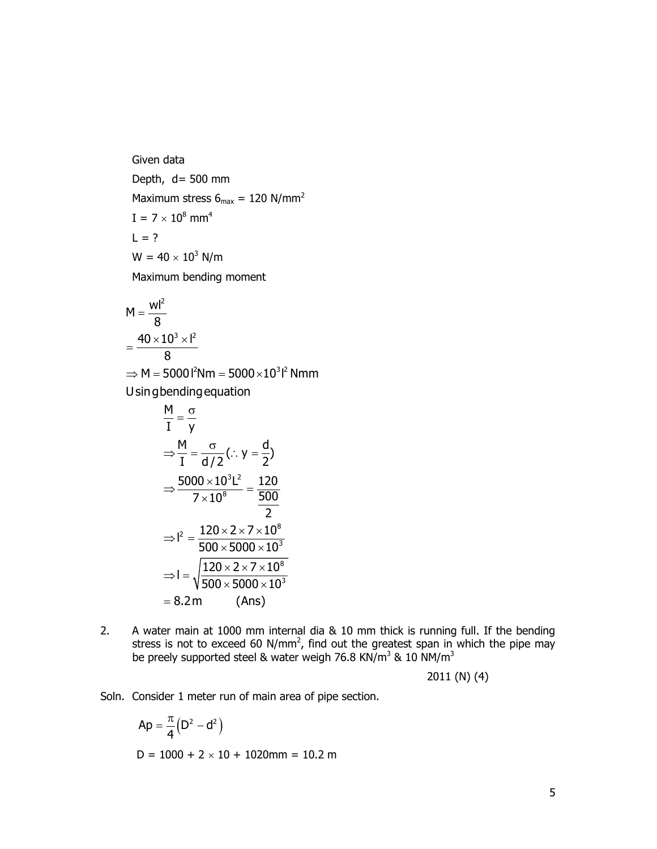Given data Depth,  $d = 500$  mm Maximum stress  $6_{\text{max}} = 120 \text{ N/mm}^2$  $I = 7 \times 10^8$  mm<sup>4</sup>  $L = ?$  $W = 40 \times 10^3$  N/m Maximum bending moment

$$
M = \frac{wl^2}{8}
$$

$$
= \frac{40 \times 10^3 \times l^2}{8}
$$

 $\Rightarrow$  M = 5000 l<sup>2</sup>Nm = 5000 $\times 10^3$ l<sup>2</sup> Nmm Usingbendingequation

$$
\frac{M}{I} = \frac{\sigma}{y}
$$
\n
$$
\Rightarrow \frac{M}{I} = \frac{\sigma}{d/2} (.\cdot y = \frac{d}{2})
$$
\n
$$
\Rightarrow \frac{5000 \times 10^{3}L^{2}}{7 \times 10^{8}} = \frac{120}{\frac{500}{2}}
$$
\n
$$
\Rightarrow I^{2} = \frac{120 \times 2 \times 7 \times 10^{8}}{500 \times 5000 \times 10^{3}}
$$
\n
$$
\Rightarrow I = \sqrt{\frac{120 \times 2 \times 7 \times 10^{8}}{500 \times 5000 \times 10^{3}}} = 8.2 \text{ m} \qquad \text{(Ans)}
$$
\nwater main at 1000 mm internal dia & 10 mm thick is running full. If the bending  
\nteress is not to exceed 60 N/mm<sup>2</sup>, find out the greatest span in which the pipe may  
\ne preely supported steel & water weigh 76.8 KN/m<sup>3</sup> & 10 N M/m<sup>3</sup>  
\n2011 (N) (4)  
\nonsider 1 meter run of main area of pipe section.  
\n
$$
Ap = \frac{\pi}{4} (D^{2} - d^{2})
$$
\n
$$
D = 1000 + 2 \times 10 + 1020 \text{mm} = 10.2 \text{ m}
$$

2. A water main at 1000 mm internal dia & 10 mm thick is running full. If the bending stress is not to exceed 60 N/mm<sup>2</sup>, find out the greatest span in which the pipe may be preely supported steel & water weigh 76.8 KN/m<sup>3</sup> & 10 NM/m<sup>3</sup>

2011 (N) (4)

Soln. Consider 1 meter run of main area of pipe section.

$$
Ap = \frac{\pi}{4} (D^2 - d^2)
$$
  
D = 1000 + 2 × 10 + 1020mm = 10.2 m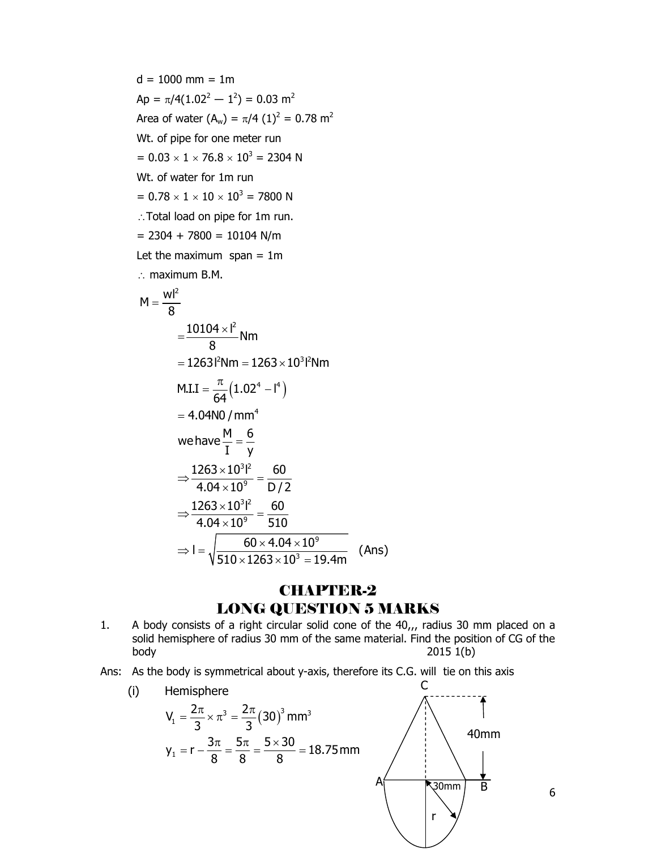$d = 1000$  mm = 1m Ap =  $\pi/4(1.02^2 - 1^2) = 0.03$  m<sup>2</sup> Area of water (A<sub>w</sub>) =  $\pi/4$  (1)<sup>2</sup> = 0.78 m<sup>2</sup> Wt. of pipe for one meter run  $= 0.03 \times 1 \times 76.8 \times 10^{3} = 2304$  N Wt. of water for 1m run  $= 0.78 \times 1 \times 10 \times 10^{3} = 7800 \text{ N}$  Total load on pipe for 1m run.  $= 2304 + 7800 = 10104$  N/m Let the maximum span  $= 1m$  $\therefore$  maximum B.M. =  $\pi/4 (1)^2 = 0.78 \text{ m}^2$ <br>
meter run<br>  $\times 10^3 = 2304 \text{ N}$ <br>
n run<br>  $10^3 = 7800 \text{ N}$ <br>
e for 1m run.<br>
10104 N/m<br>
span = 1m<br>  $\frac{1^2}{2}$  Nm<br>
m =  $1263 \times 10^3 \text{ N}$  m<br>
(1.02<sup>4</sup> - I<sup>4</sup>)<br>
(mm<sup>4</sup><br>
m =  $\frac{1}{2} = \frac{6}{y}$  $M = \frac{wl^2}{2}$  $\frac{10104\times l^2}{2}$  Nm 8 8  $=$  $=\frac{10104\times}{2}$ 

$$
= 1263^{2}Nm = 1263 \times 10^{3}l^{2}Nm
$$
  
M.I.I =  $\frac{\pi}{64}(1.02^{4} - l^{4})$   
= 4.04NO/mm<sup>4</sup>  
we have  $\frac{M}{I} = \frac{6}{y}$   

$$
\Rightarrow \frac{1263 \times 10^{3}l^{2}}{4.04 \times 10^{9}} = \frac{60}{D/2}
$$
  

$$
\Rightarrow \frac{1263 \times 10^{3}l^{2}}{4.04 \times 10^{9}} = \frac{60}{510}
$$
  

$$
\Rightarrow l = \sqrt{\frac{60 \times 4.04 \times 10^{9}}{510 \times 1263 \times 10^{3}} = 19.4m}
$$
 (Ans)

#### **CHAPTER-2** LONG QUESTION 5 MARKS

- 1. A body consists of a right circular solid cone of the 40,,, radius 30 mm placed on a solid hemisphere of radius 30 mm of the same material. Find the position of CG of the body 2015 1(b)
- Ans: As the body is symmetrical about y-axis, therefore its C.G. will tie on this axis



6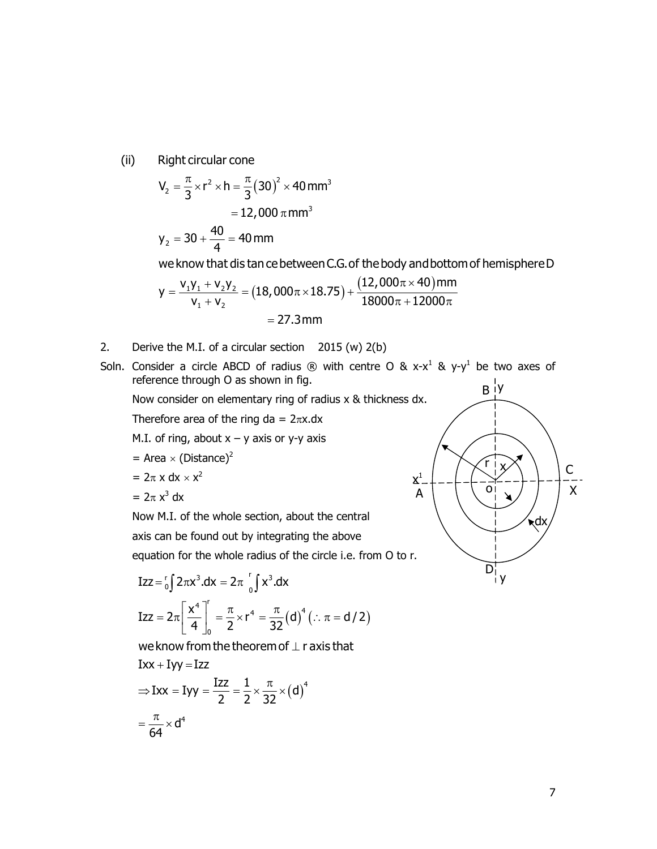(ii) Right circular cone

Right circular cone  
\n
$$
V_2 = \frac{\pi}{3} \times r^2 \times h = \frac{\pi}{3} (30)^2 \times 40 \text{ mm}^3
$$
\n= 12,000  $\pi$  mm<sup>3</sup>  
\n
$$
y_2 = 30 + \frac{40}{4} = 40 \text{ mm}
$$

we know that dis tan ce between C.G. of the body and bottom of hemisphere D

Right circular cone  
\n
$$
V_2 = \frac{\pi}{3} \times r^2 \times h = \frac{\pi}{3} (30)^2 \times 40 \text{ mm}^3
$$
\n= 12,000  $\pi \text{ mm}^3$   
\n
$$
Y_2 = 30 + \frac{40}{4} = 40 \text{ mm}
$$
\nwe know that *dis* tan *ce* between *C*.*G*. of the body and bottom of hemisphere D  
\n
$$
y = \frac{V_1 V_1 + V_2 V_2}{V_1 + V_2} = (18,000\pi \times 18.75) + \frac{(12,000\pi \times 40) \text{ mm}}{18000\pi + 12000\pi}
$$
\n= 27.3 mm  
\net the M.I. of a circular section 2015 (w) 2(b)

- 2. Derive the M.I. of a circular section 2015 (w) 2(b)
- Soln. Consider a circle ABCD of radius  $\circledR$  with centre O & x-x<sup>1</sup> & y-y<sup>1</sup> be two axes of reference through O as shown in fig.

Now consider on elementary ring of radius x & thickness dx.

Therefore area of the ring da =  $2\pi x$ .dx

M.I. of ring, about  $x - y$  axis or y-y axis

$$
= \text{Area} \times (\text{Distance})^2
$$

$$
= 2\pi \times dx \times x^2
$$

$$
= 2\pi x^3 dx
$$

 Now M.I. of the whole section, about the central axis can be found out by integrating the above equation for the whole radius of the circle i.e. from O to r.

$$
Izz = \binom{r}{0} 2\pi x^3 \cdot dx = 2\pi \int_0^r x^3 \cdot dx
$$
  

$$
Izz = 2\pi \left[ \frac{x^4}{4} \right]_0^r = \frac{\pi}{2} \times r^4 = \frac{\pi}{32} (d)^4 \left( \because \pi = d/2 \right)
$$

we know from the theorem of  $\perp$  r axis that

$$
Ixx + Iyy = Izz
$$
  
\n
$$
\Rightarrow Ixx = Iyy = \frac{Izz}{2} = \frac{1}{2} \times \frac{\pi}{32} \times (d)^4
$$
  
\n
$$
= \frac{\pi}{64} \times d^4
$$

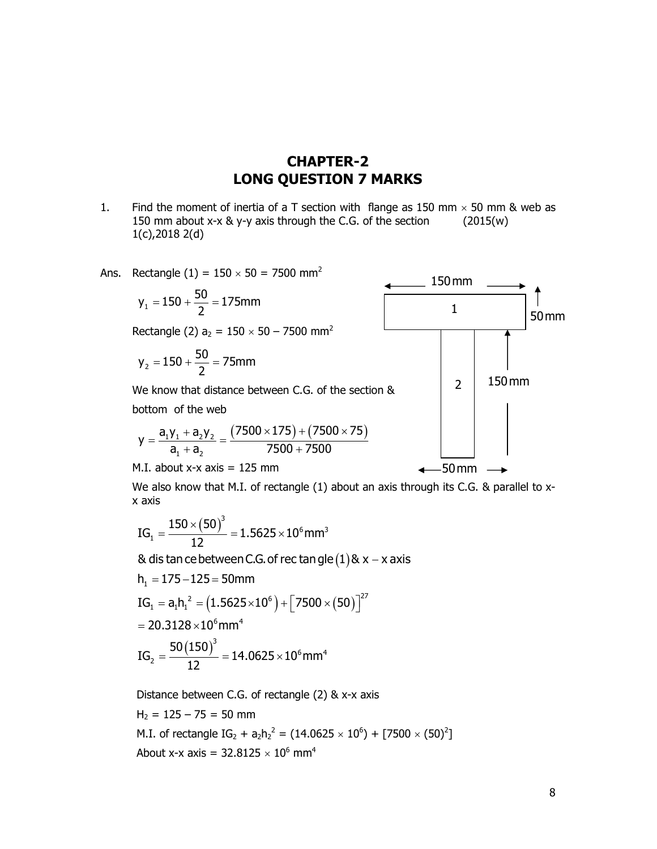#### CHAPTER-2 LONG QUESTION 7 MARKS

1. Find the moment of inertia of a T section with flange as 150 mm  $\times$  50 mm & web as 150 mm about x-x & y-y axis through the C.G. of the section (2015(w) 1(c),2018 2(d)

Ans. Rectangle (1) = 
$$
150 \times 50 = 7500
$$
 mm<sup>2</sup>

$$
y_1 = 150 + \frac{50}{2} = 175 \text{mm}
$$

Rectangle (2)  $a_2 = 150 \times 50 - 7500$  mm<sup>2</sup>

$$
y_2 = 150 + \frac{50}{2} = 75 \text{mm}
$$

 We know that distance between C.G. of the section & bottom of the web

$$
y = \frac{a_1 y_1 + a_2 y_2}{a_1 + a_2} = \frac{(7500 \times 175) + (7500 \times 75)}{7500 + 7500}
$$

M.I. about  $x-x$  axis = 125 mm

We also know that M.I. of rectangle (1) about an axis through its C.G. & parallel to xx axis

$$
IG_{_1}=\frac{150\times \left(50\right)^3}{12}=1.5625\times 10^6\text{mm}^3
$$

& dis tan ce between C.G. of rec tan gle  $(1)$  &  $x - x$  axis

$$
h_1 = 175 - 125 = 50 \text{mm}
$$
\n
$$
IG_1 = a_1 h_1^2 = (1.5625 \times 10^6) + [7500 \times (50)]^{27}
$$
\n
$$
= 20.3128 \times 10^6 \text{mm}^4
$$
\n
$$
IG_2 = \frac{50(150)^3}{12} = 14.0625 \times 10^6 \text{mm}^4
$$

 Distance between C.G. of rectangle (2) & x-x axis  $H<sub>2</sub> = 125 - 75 = 50$  mm M.I. of rectangle  $IG_2 + a_2h_2^2 = (14.0625 \times 10^6) + [7500 \times (50)^2]$ About x-x axis =  $32.8125 \times 10^6$  mm<sup>4</sup>

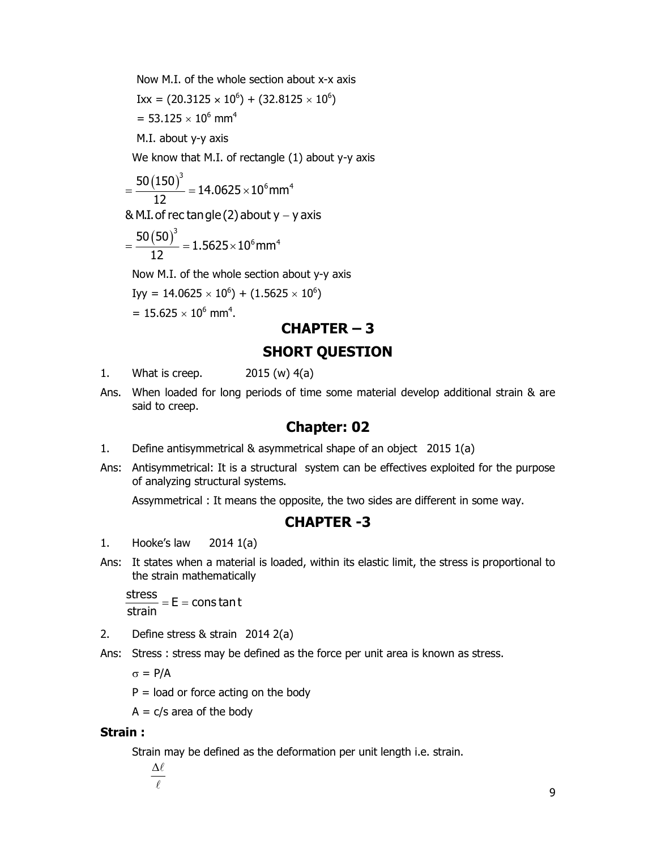Now M.I. of the whole section about x-x axis  $IXx = (20.3125 \times 10^6) + (32.8125 \times 10^6)$ = 53.125  $\times$  10<sup>6</sup> mm<sup>4</sup> W M.I. of the whole section about x-x axis<br>
= (20.3125 × 10<sup>6</sup>) + (32.8125 × 10<sup>6</sup>)<br>
53.125 × 10<sup>6</sup> mm<sup>4</sup><br>
i. about y-y axis<br>
know that M.I. of rectangle (1) about y-y axis<br>
(150)<sup>3</sup><br>
= 14.0625 × 10<sup>6</sup> mm<sup>4</sup><br>
12<br>
m.I. of

M.I. about y-y axis

We know that M.I. of rectangle (1) about y-y axis

$$
=\frac{50\left(150\right)^3}{12}=14.0625\times10^6\text{mm}^4
$$

& M.I. of rec tan gle (2) about  $y - y$  axis

$$
=\frac{50\left(50\right)^3}{12}=1.5625\times10^6\text{mm}^4
$$

Now M.I. of the whole section about y-y axis

Iyy = 14.0625  $\times$  10<sup>6</sup>) + (1.5625  $\times$  10<sup>6</sup>)

 $= 15.625 \times 10^6$  mm<sup>4</sup>.

#### CHAPTER – 3

#### SHORT QUESTION

- 1. What is creep. 2015 (w) 4(a)
- Ans. When loaded for long periods of time some material develop additional strain & are said to creep.

#### Chapter: 02

- 1. Define antisymmetrical & asymmetrical shape of an object 2015 1(a)
- Ans: Antisymmetrical: It is a structural system can be effectives exploited for the purpose of analyzing structural systems.

Assymmetrical : It means the opposite, the two sides are different in some way.

#### CHAPTER -3

- 1. Hooke's law 2014 1(a)
- Ans: It states when a material is loaded, within its elastic limit, the stress is proportional to the strain mathematically

 $\frac{\text{stress}}{\text{F}}$  = E = cons tan t strain

- 2. Define stress & strain 2014 2(a)
- Ans: Stress : stress may be defined as the force per unit area is known as stress.

 $\sigma = P/A$ 

 $P =$  load or force acting on the body

 $A = c/s$  area of the body

#### Strain :

Strain may be defined as the deformation per unit length i.e. strain.

 $\Delta \ell$  $\sqrt{\ell}$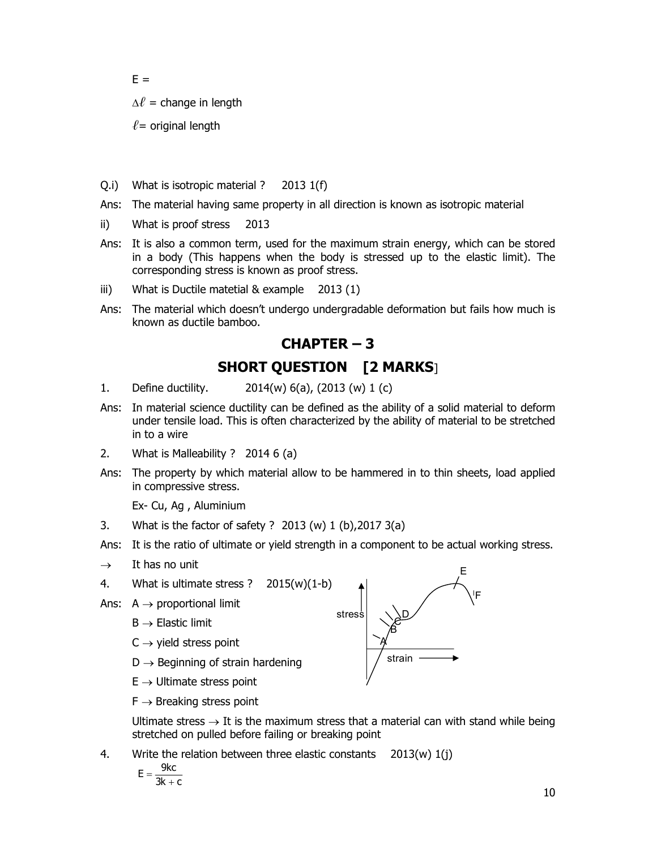$E =$ 

 $\Delta \ell$  = change in length

 $\ell$  = original length

- Q.i) What is isotropic material ? 2013 1(f)
- Ans: The material having same property in all direction is known as isotropic material
- ii) What is proof stress 2013
- Ans: It is also a common term, used for the maximum strain energy, which can be stored in a body (This happens when the body is stressed up to the elastic limit). The corresponding stress is known as proof stress.
- iii) What is Ductile matetial & example 2013 (1)
- Ans: The material which doesn't undergo undergradable deformation but fails how much is known as ductile bamboo.

#### CHAPTER – 3

#### SHORT QUESTION [2 MARKS]

- 1. Define ductility. 2014(w) 6(a), (2013 (w) 1 (c)
- Ans: In material science ductility can be defined as the ability of a solid material to deform under tensile load. This is often characterized by the ability of material to be stretched in to a wire
- 2. What is Malleability ? 2014 6 (a)
- Ans: The property by which material allow to be hammered in to thin sheets, load applied in compressive stress.

Ex- Cu, Ag , Aluminium

- 3. What is the factor of safety ? 2013 (w) 1 (b),2017 3(a)
- Ans: It is the ratio of ultimate or yield strength in a component to be actual working stress.
- $\rightarrow$  It has no unit
- 4. What is ultimate stress ? 2015(w)(1-b)
- Ans:  $A \rightarrow$  proportional limit
	- $B \rightarrow$  Elastic limit
	- $C \rightarrow$  yield stress point
	- $D \rightarrow$  Beginning of strain hardening
	- $E \rightarrow$  Ultimate stress point
	- $F \rightarrow$  Breaking stress point

Ultimate stress  $\rightarrow$  It is the maximum stress that a material can with stand while being stretched on pulled before failing or breaking point

4. Write the relation between three elastic constants 2013(w) 1(j)

$$
E = \frac{9kc}{3k + c}
$$

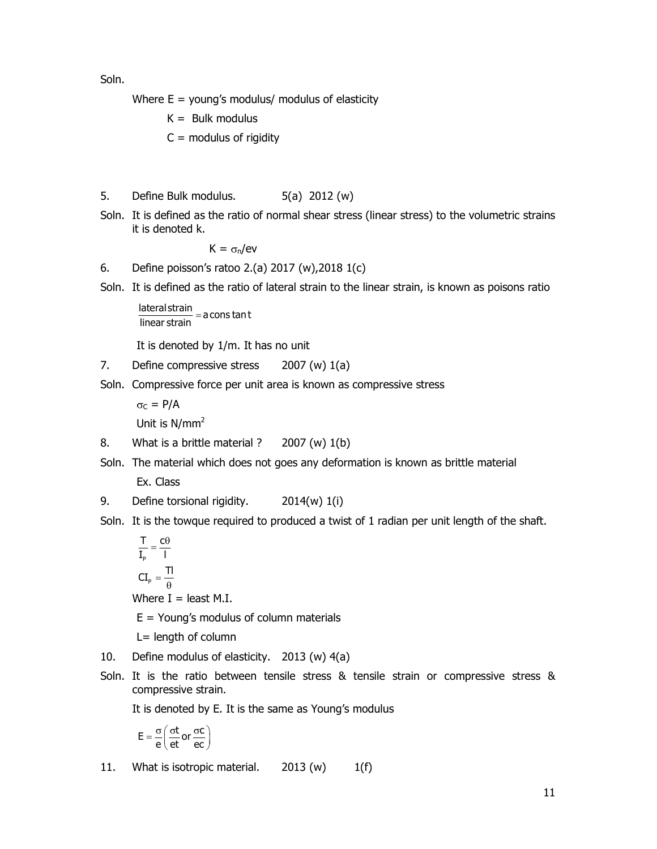Soln.

Where  $E =$  young's modulus/ modulus of elasticity

 $K =$  Bulk modulus

 $C =$  modulus of rigidity

- 5. Define Bulk modulus. 5(a) 2012 (w)
- Soln. It is defined as the ratio of normal shear stress (linear stress) to the volumetric strains it is denoted k.

 $K = \sigma_n/eV$ 

6. Define poisson's ratoo 2.(a) 2017 (w),2018 1(c)

Soln. It is defined as the ratio of lateral strain to the linear strain, is known as poisons ratio

lateral strain<br>linear strain = a cons tan t

It is denoted by 1/m. It has no unit

- 7. Define compressive stress 2007 (w) 1(a)
- Soln. Compressive force per unit area is known as compressive stress

 $\sigma_C = P/A$ Unit is N/mm<sup>2</sup>

- 8. What is a brittle material ? 2007 (w) 1(b)
- Soln. The material which does not goes any deformation is known as brittle material

Ex. Class

- 9. Define torsional rigidity. 2014(w) 1(i)
- Soln. It is the towque required to produced a twist of 1 radian per unit length of the shaft.

P  $CI_{\sf p} = \frac{{\sf TI}}{{\theta}}$ T  $c\theta$  $\overline{I_{p}}$  =  $\overline{I}$  $=\frac{c\theta}{l}$ 

Where  $I =$  least M.I.

 $E =$  Young's modulus of column materials

L= length of column

- 10. Define modulus of elasticity. 2013 (w) 4(a)
- Soln. It is the ratio between tensile stress & tensile strain or compressive stress & compressive strain.

It is denoted by E. It is the same as Young's modulus

$$
E = \frac{\sigma}{e} \left( \frac{\sigma t}{et} \text{ or } \frac{\sigma c}{ec} \right)
$$

11. What is isotropic material.  $2013 \, (w)$  1(f)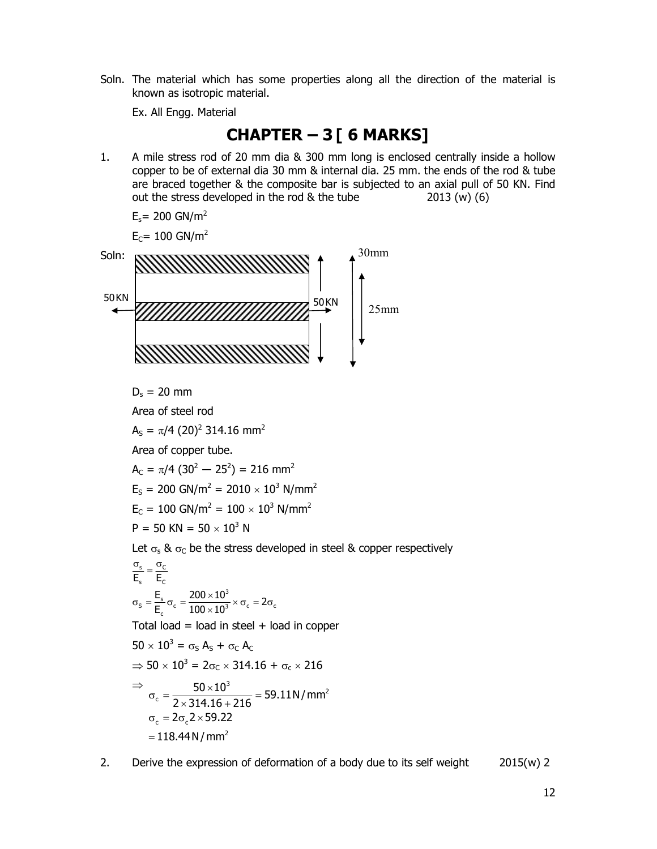Soln. The material which has some properties along all the direction of the material is known as isotropic material.

Ex. All Engg. Material

#### **CHAPTER – 3 [ 6 MARKS]**

1. A mile stress rod of 20 mm dia & 300 mm long is enclosed centrally inside a hollow copper to be of external dia 30 mm & internal dia. 25 mm. the ends of the rod & tube are braced together & the composite bar is subjected to an axial pull of 50 KN. Find out the stress developed in the rod & the tube 2013 (w) (6)

$$
E_s = 200 \text{ GN/m}^2
$$

 $E_C$ = 100 GN/m<sup>2</sup>



 $D_s = 20$  mm

Area of steel rod

 $A_S = \pi/4$  (20)<sup>2</sup> 314.16 mm<sup>2</sup>

Area of copper tube.

 $A_c = \pi/4$  (30<sup>2</sup> – 25<sup>2</sup>) = 216 mm<sup>2</sup>

 $E_S = 200 \text{ GN/m}^2 = 2010 \times 10^3 \text{ N/mm}^2$ 

$$
E_c = 100 \text{ GN/m}^2 = 100 \times 10^3 \text{ N/mm}^2
$$

$$
P = 50 \text{ KN} = 50 \times 10^3 \text{ N}
$$

Let  $\sigma_s$  &  $\sigma_c$  be the stress developed in steel & copper respectively

$$
\frac{\sigma_s}{E_s} = \frac{\sigma_c}{E_c}
$$
  
\n
$$
\sigma_s = \frac{E_s}{E_c} \sigma_c = \frac{200 \times 10^3}{100 \times 10^3} \times \sigma_c = 2\sigma_c
$$

Total load = load in steel  $+$  load in copper

$$
50 \times 10^{3} = \sigma_{S} A_{S} + \sigma_{C} A_{C}
$$
\n
$$
\Rightarrow 50 \times 10^{3} = 2\sigma_{C} \times 314.16 + \sigma_{C} \times 216
$$
\n
$$
\Rightarrow \sigma_{c} = \frac{50 \times 10^{3}}{2 \times 314.16 + 216} = 59.11 \text{ N/mm}^{2}
$$
\n
$$
\sigma_{c} = 2\sigma_{c} 2 \times 59.22
$$
\n
$$
= 118.44 \text{ N/mm}^{2}
$$

2. Derive the expression of deformation of a body due to its self weight  $2015(w)$  2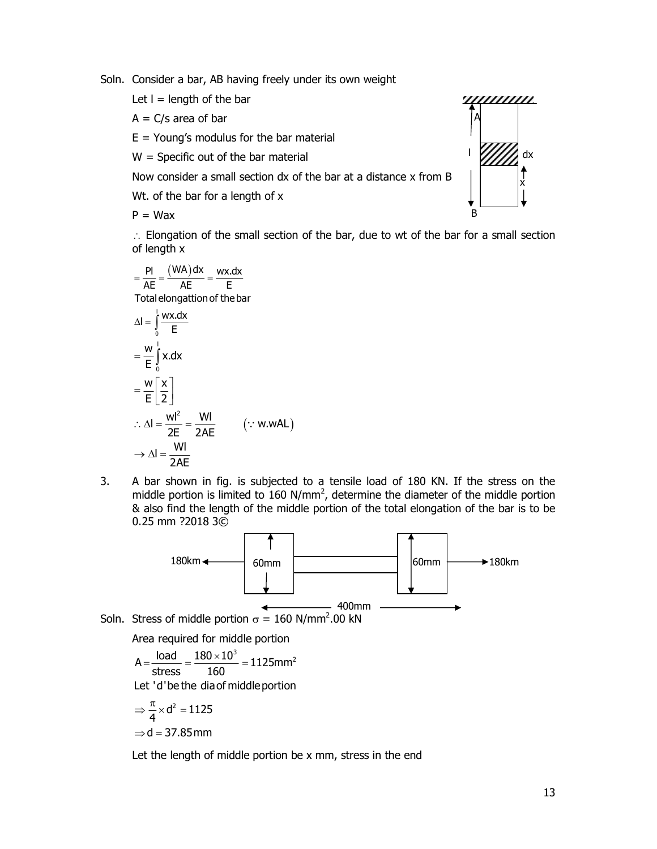Soln. Consider a bar, AB having freely under its own weight

Let  $I =$  length of the bar

 $A = C/s$  area of bar

 $E =$  Young's modulus for the bar material

 $W =$  Specific out of the bar material

Now consider a small section dx of the bar at a distance x from B

Wt. of the bar for a length of x

 $P = Wax$ 

 $\therefore$  Elongation of the small section of the bar, due to wt of the bar for a small section of length x

$$
= \frac{PI}{AE} = \frac{(WA)dx}{AE} = \frac{wx.dx}{E}
$$
  
Total elongation of the bar

Using a mechanical of the bar material. Now consider a small section dx of the bar at a distance x from B. We, of the bar for a length of x.

\nP = Wax

\n∴ Elongation of the small section of the bar, due to wt of the bar for a small section of length x.

\n
$$
= \frac{PI}{AE} = \frac{(WA)dx}{AE} = \frac{wx(dx)}{E}
$$

\nTotal elongation of the bar.

\nΔI = 
$$
\int_{0}^{1} \frac{wx(dx)}{E} = \frac{w}{E} \int_{0}^{1} x \cdot dx
$$

\n
$$
= \frac{w}{E} \left[ \frac{x}{2} \right]
$$

\n∴ ΔI = 
$$
\frac{wl^2}{2E} = \frac{Wl}{2AE}
$$
 (∴ w.wAL)

\n⇒ ΔI = 
$$
\frac{Wl}{2AE}
$$

\nA bar shown in fig. is subjected to a tensile load of 180 KN. If the stress on the

3. A bar shown in fig. is subjected to a tensile load of 180 KN. If the stress on the middle portion is limited to 160  $N/mm^2$ , determine the diameter of the middle portion & also find the length of the middle portion of the total elongation of the bar is to be 0.25 mm ?2018 3©



Area required for middle portion

$$
A = \frac{\text{load}}{\text{stress}} = \frac{180 \times 10^3}{160} = 1125 \text{mm}^2
$$
\nLet 'd'be the dia of middle portion

\n
$$
\Rightarrow \frac{\pi}{4} \times d^2 = 1125
$$

$$
\Rightarrow d = 37.85 \text{ mm}
$$

Let the length of middle portion be x mm, stress in the end

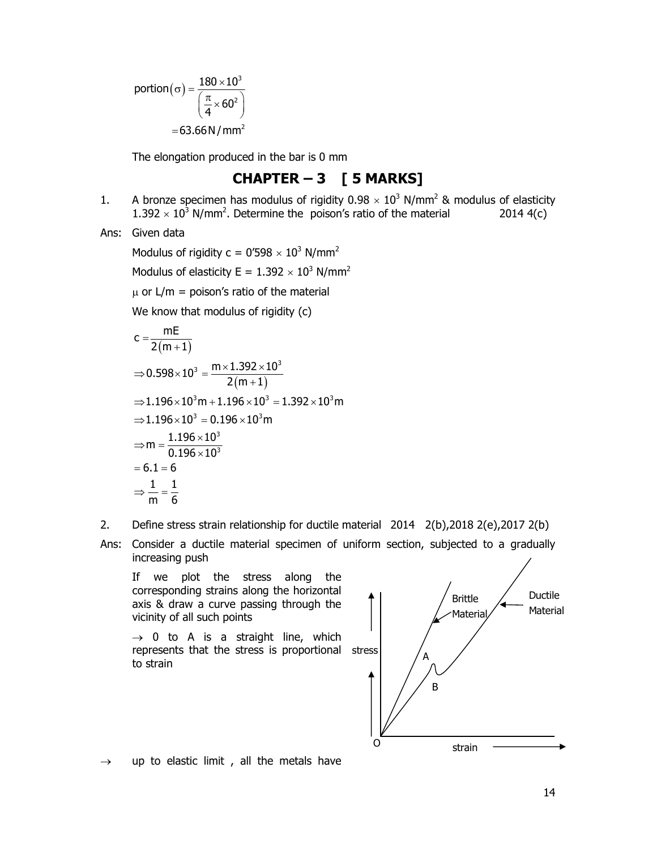$(\sigma) = \frac{180 \times 10^3}{\left(\frac{\pi}{4} \times 60^2\right)}$ <br>= 63.66N/mm<sup>2</sup>  $\sigma) = \frac{180 \times 10^3}{\pi \times 60^2}$ 2  $= 63.66$  N / mm<sup>2</sup> portion  $(\sigma)$  =  $60<sup>2</sup>$ 4  $\left(\frac{\pi}{4} \times 60^2\right)$ 

The elongation produced in the bar is 0 mm

#### CHAPTER  $-3$  [ 5 MARKS]

- 1. A bronze specimen has modulus of rigidity  $0.98 \times 10^3$  N/mm<sup>2</sup> & modulus of elasticity  $1.392 \times 10^3$  N/mm<sup>2</sup>. Determine the poison's ratio of the material 2014 4(c)
- Ans: Given data

Modulus of rigidity c = 0'598  $\times$  10<sup>3</sup> N/mm<sup>2</sup>

Modulus of elasticity E =  $1.392 \times 10^3$  N/mm<sup>2</sup>

 $\mu$  or L/m = poison's ratio of the material

We know that modulus of rigidity (c)

portion(σ) = 
$$
\frac{180 \times 10^3}{(\frac{\pi}{4} \times 60^2)}
$$
  
\n= 63.66N/mm<sup>2</sup>  
\nThe elongation produced in the bar is 0 mm  
\n**CHAPTER - 3 [ 5 MARKS]**  
\nA bronze specimen has modulus of rigidity 0.98 × 10<sup>3</sup> N/mm<sup>2</sup> & modulus of elasticity  
\n1.392 × 10<sup>3</sup> N/mm<sup>2</sup>. Determine the poison's ratio of the material  
\nModulus of rigidity c = 0′598 × 10<sup>3</sup> N/mm<sup>2</sup>  
\nModulus of elasticity E = 1.392 × 10<sup>3</sup> N/mm<sup>2</sup>  
\nμ or L/m = poison's ratio of the material  
\nWe know that modulus of rigidity (c)  
\n
$$
c = \frac{mE}{2(m+1)}
$$
  
\n⇒ 0.598 × 10<sup>3</sup> =  $\frac{m \times 1.392 \times 10^3}{2(m+1)}$   
\n⇒ 1.196 × 10<sup>3</sup>m + 1.196 × 10<sup>3</sup> = 1.392 × 10<sup>3</sup>m  
\n⇒ 1.196 × 10<sup>3</sup> = 0.196 × 10<sup>3</sup>m  
\n⇒ m =  $\frac{1.196 \times 10^3}{0.196 \times 10^3}$   
\n= 6.1 = 6  
\n⇒  $\frac{1}{m} = \frac{1}{6}$ 

- 2. Define stress strain relationship for ductile material 2014 2(b),2018 2(e),2017 2(b)
- Ans: Consider a ductile material specimen of uniform section, subjected to a gradually increasing push

 If we plot the stress along the corresponding strains along the horizontal axis & draw a curve passing through the vicinity of all such points

 $\rightarrow$  0 to A is a straight line, which represents that the stress is proportional stress to strain



 $\rightarrow$  up to elastic limit, all the metals have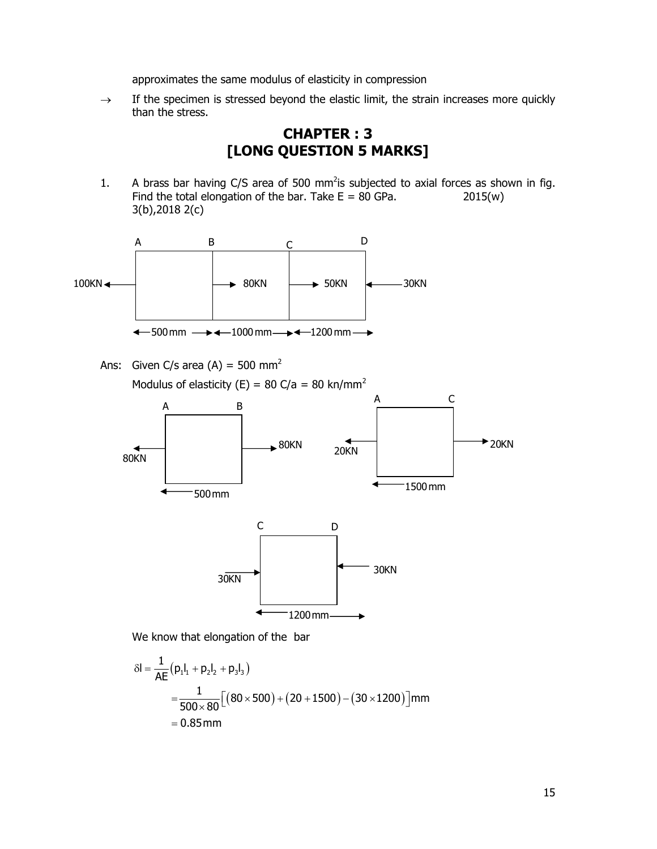approximates the same modulus of elasticity in compression

 $\rightarrow$  If the specimen is stressed beyond the elastic limit, the strain increases more quickly than the stress.

#### CHAPTER : 3 [LONG QUESTION 5 MARKS]

1. A brass bar having  $C/S$  area of 500 mm<sup>2</sup>is subjected to axial forces as shown in fig. Find the total elongation of the bar. Take  $E = 80$  GPa.  $2015(w)$ 3(b),2018 2(c)



Ans: Given C/s area  $(A) = 500$  mm<sup>2</sup> Modulus of elasticity (E) = 80 C/a = 80 kn/mm<sup>2</sup>



We know that elongation of the bar

$$
\delta I = \frac{1}{AE} (p_1 l_1 + p_2 l_2 + p_3 l_3)
$$
  
= 
$$
\frac{1}{500 \times 80} [(80 \times 500) + (20 + 1500) - (30 \times 1200)] \text{mm}
$$
  
= 0.85 mm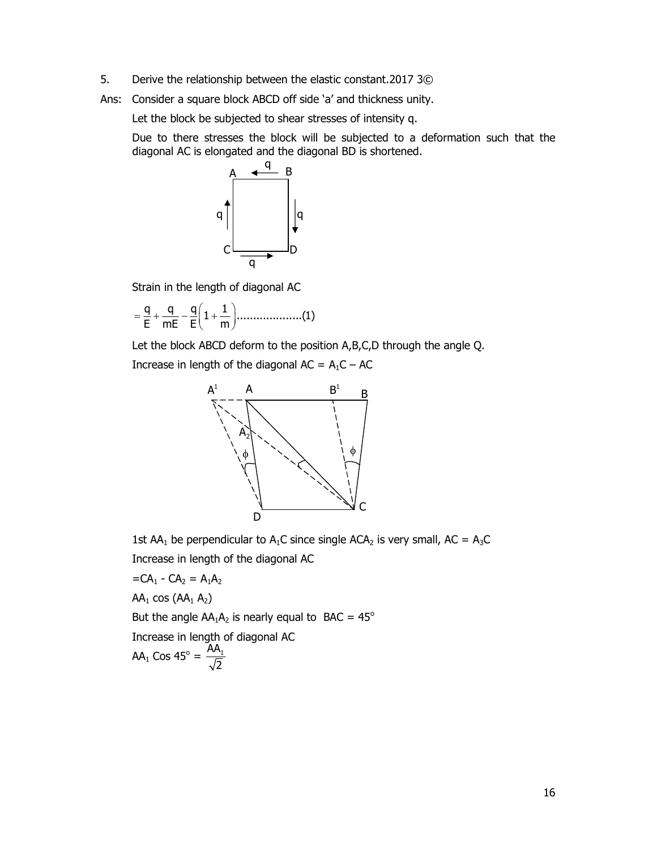- 5. Derive the relationship between the elastic constant.2017 3©
- Ans: Consider a square block ABCD off side 'a' and thickness unity.

Let the block be subjected to shear stresses of intensity q.

 Due to there stresses the block will be subjected to a deformation such that the diagonal AC is elongated and the diagonal BD is shortened.



Strain in the length of diagonal AC

q q q 1 1 ....................(1) E mE E m 

Let the block ABCD deform to the position A,B,C,D through the angle Q.

Increase in length of the diagonal  $AC = A_1C - AC$ 



1st AA<sub>1</sub> be perpendicular to A<sub>1</sub>C since single ACA<sub>2</sub> is very small, AC = A<sub>3</sub>C Increase in length of the diagonal AC

$$
=CA_1 - CA_2 = A_1A_2
$$

 $AA_1$  cos  $(AA_1 A_2)$ 

But the angle  $AA_1A_2$  is nearly equal to BAC =  $45^\circ$ 

Increase in length of diagonal AC

$$
AA_1 \text{ Cos } 45^\circ = \frac{AA_1}{\sqrt{2}}
$$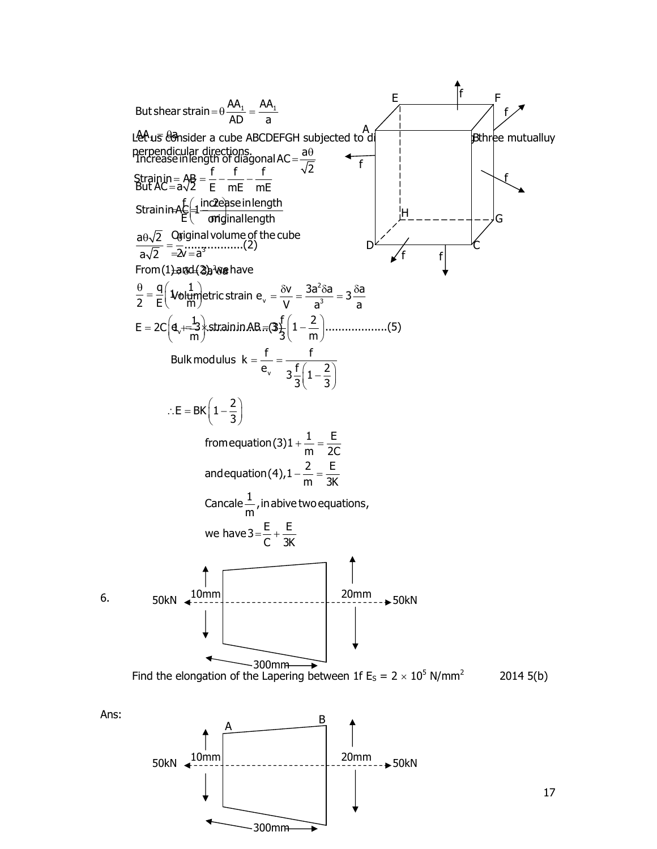



17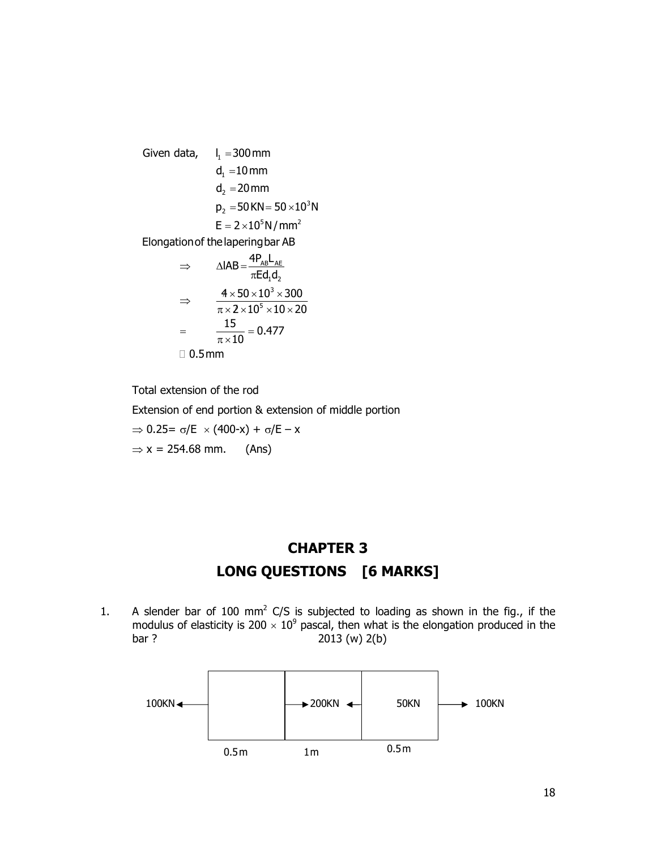Given data,  $I_1 = 300$  mm  $d_1 = 10$  mm  $d_2 = 20$  mm  $p_2 = 50$  KN =  $50 \times 10^3$  N  $E = 2 \times 10^5 N/mm^2$ AB AE  $1^{\mathsf{U}_2}$ 3 5 Elongationof thelaperingbar AB  $IAB = \frac{4P_{AB}L_{AE}}{F_{A}L_{AE}}$  $\overline{\mathsf{Ed}_1\mathsf{d}_2}$  $4 \times 50 \times 10^3 \times 300$  $2 \times 10^5 \times 10 \times 20$  $\frac{15}{12}$  = 0.477  $=\frac{15}{\pi \times 10} = 0$ 0.5mm  $\Rightarrow \Delta IAB = \frac{4H}{\pi I}$  $4 \times 50 \times 10^3 \times 3$  $\Rightarrow$  $\pi \times 2 \times 10^5 \times 10 \times 2$  $\overline{\pi \times 10}$ 

Total extension of the rod

Extension of end portion & extension of middle portion

 $\Rightarrow$  0.25=  $\sigma$ /E  $\times$  (400-x) +  $\sigma$ /E – x

 $\Rightarrow$  x = 254.68 mm. (Ans)

## CHAPTER 3 LONG QUESTIONS [6 MARKS]

1. A slender bar of 100 mm<sup>2</sup> C/S is subjected to loading as shown in the fig., if the modulus of elasticity is 200  $\times$  10<sup>9</sup> pascal, then what is the elongation produced in the bar ? 2013 (w) 2(b)

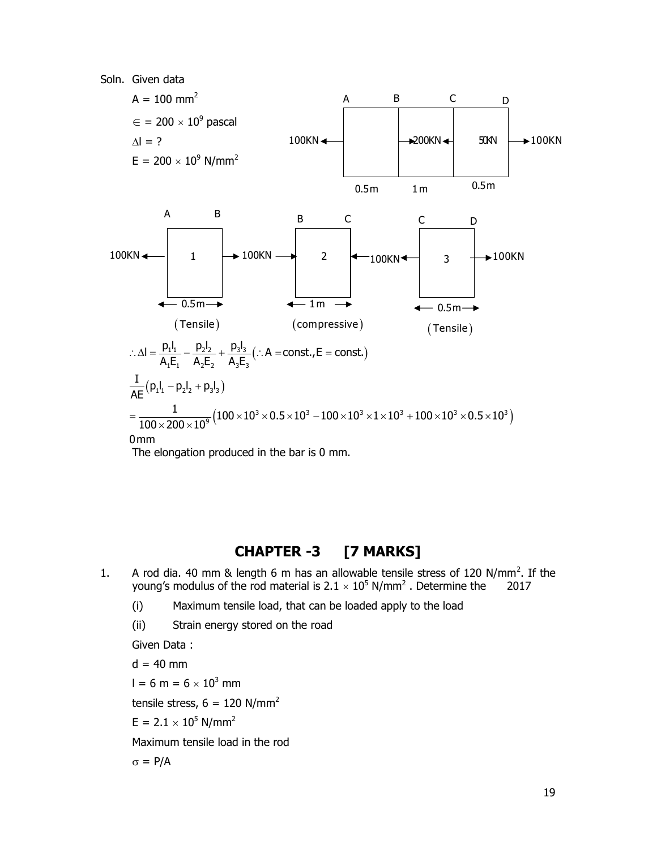

The elongation produced in the bar is 0 mm.

#### CHAPTER -3 [7 MARKS]

- 1. A rod dia. 40 mm & length 6 m has an allowable tensile stress of 120 N/mm<sup>2</sup>. If the young's modulus of the rod material is  $2.1 \times 10^5$  N/mm<sup>2</sup>. Determine the 2017
	- (i) Maximum tensile load, that can be loaded apply to the load
	- (ii) Strain energy stored on the road

Given Data :

 $d = 40$  mm

 $l = 6 m = 6 \times 10^3$  mm

tensile stress,  $6 = 120$  N/mm<sup>2</sup>

 $E = 2.1 \times 10^5$  N/mm<sup>2</sup>

Maximum tensile load in the rod

 $\sigma = P/A$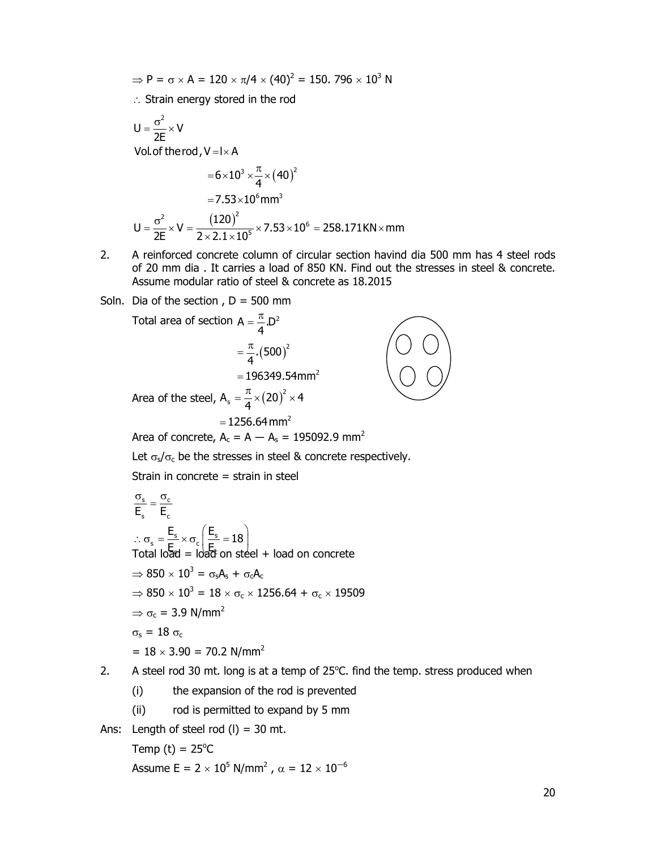- $\Rightarrow$  P =  $\sigma \times$  A = 120  $\times \pi/4 \times (40)^2$  = 150. 796  $\times$  10<sup>3</sup> N
- $\therefore$  Strain energy stored in the rod

$$
\Rightarrow P = \sigma \times A = 120 \times \pi/4 \times (40)^2 = 150.796 \times 10^3 N
$$
  
\n∴ Strain energy stored in the rod  
\n
$$
U = \frac{\sigma^2}{2E} \times V
$$
  
\nVol. of therod, V=1×A  
\n
$$
= 6 \times 10^3 \times \frac{\pi}{4} \times (40)^2
$$
  
\n
$$
= 7.53 \times 10^6 mm^3
$$
  
\n
$$
U = \frac{\sigma^2}{2E} \times V = \frac{(120)^2}{2 \times 2.1 \times 10^5} \times 7.53 \times 10^6 = 258.171 KN \times mm
$$
  
\nA reinforced concrete column of circular section having the same as 4 steel rods of 20 mm dia. It carries a load of 850 KN. Find out the stresses in steel & concrete.  
\nAssume modular ratio of steel & concrete as 18.2015

- 2. A reinforced concrete column of circular section havind dia 500 mm has 4 steel rods of 20 mm dia . It carries a load of 850 KN. Find out the stresses in steel & concrete. Assume modular ratio of steel & concrete as 18.2015
- Soln. Dia of the section,  $D = 500$  mm

$$
P = \sigma \times A = 120 \times \pi/4 \times (40)^2 = 150.796 \times 10^3 N
$$
  
\n∴ Strain energy stored in the rod  
\n
$$
U = \frac{\sigma^2}{2E} \times V
$$
  
\nVol of therod, V = l×A  
\n
$$
= 6 \times 10^3 \times \frac{\pi}{4} \times (40)^2
$$
  
\n
$$
= 7.53 \times 10^6 mm^3
$$
  
\n
$$
U = \frac{\sigma^2}{2E} \times V = \frac{(120)^2}{2 \times 2.1 \times 10^5} \times 7.53 \times 10^6 = 258.171 \text{kN} \times mm
$$
  
\n2. A reinforced concrete column of circular section having dia 500 mm has 4 steel rods of 850 KN. Find out the stresses in steel &  
\n
$$
= \text{Assume modular ratio of steel & concrete as 18.2015}
$$
  
\nSoln. Dia of the section, D = 500 mm  
\nTotal area of section A =  $\frac{\pi}{4}$ .D<sup>2</sup>  
\n
$$
= \frac{\pi}{4} \cdot (500)^2
$$
  
\n
$$
= 196349.54 mm^2
$$
  
\nArea of the steel, A<sub>s</sub> =  $\frac{\pi}{4} \times (20)^2 \times 4$   
\n= 1256.64 mm<sup>2</sup>  
\nArea of concrete, A<sub>c</sub> = A – A<sub>s</sub> = 195092.9 mm<sup>2</sup>  
\nLet  $\sigma_s/\sigma_c$  be the stresses in steel & concrete respectively.  
\nStrain in concrete = strain in steel

$$
\frac{\sigma_s}{E_s} = \frac{\sigma_c}{E_c}
$$
\n
$$
\therefore \sigma_s = \frac{E_s}{E} \times \sigma_c \left( \frac{E_s}{E} = 18 \right)
$$
\nTotal load = load on steel + load on concrete  
\n
$$
\Rightarrow 850 \times 10^3 = \sigma_s A_s + \sigma_c A_c
$$
\n
$$
\Rightarrow 850 \times 10^3 = 18 \times \sigma_c \times 1256.64 + \sigma_c \times 19509
$$
\n
$$
\Rightarrow \sigma_c = 3.9 \text{ N/mm}^2
$$
\n
$$
\sigma_s = 18 \sigma_c
$$
\n
$$
= 18 \times 3.90 = 70.2 \text{ N/mm}^2
$$

- 2. A steel rod 30 mt. long is at a temp of  $25^{\circ}$ C. find the temp. stress produced when
	- (i) the expansion of the rod is prevented
	- (ii) rod is permitted to expand by 5 mm
- Ans: Length of steel rod  $(l) = 30$  mt.

Temp (t) =  $25^{\circ}$ C

Assume E = 2  $\times$  10<sup>5</sup> N/mm<sup>2</sup> ,  $\alpha$  = 12  $\times$  10<sup>-6</sup>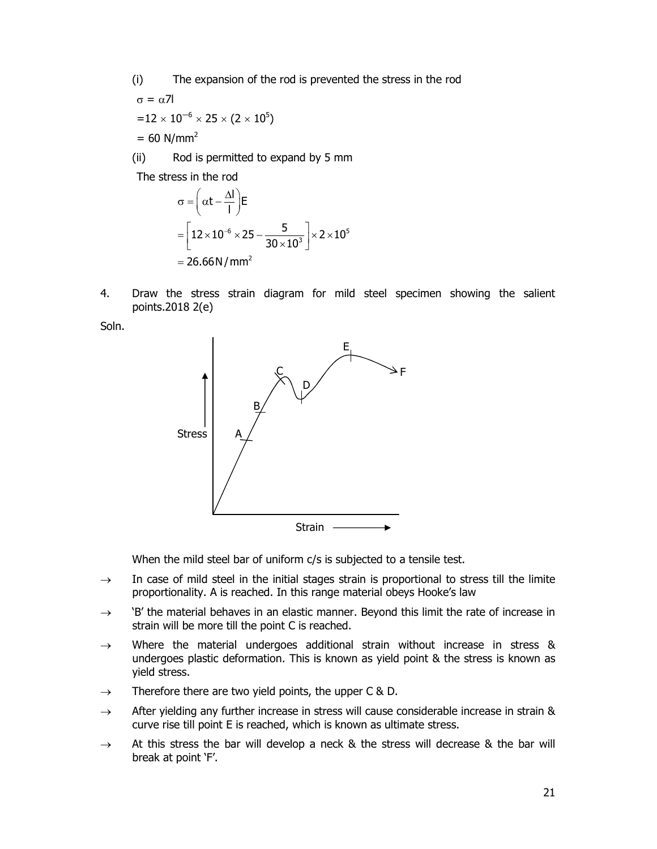(i) The expansion of the rod is prevented the stress in the rod

$$
σ = α71
$$
  
= 12 × 10<sup>-6</sup> × 25 × (2 × 10<sup>5</sup>)  
= 60 N/mm<sup>2</sup>

(ii) Rod is permitted to expand by 5 mm

The stress in the rod

$$
\sigma = \left(\alpha t - \frac{\Delta l}{l}\right) E
$$
  
= 
$$
\left[12 \times 10^{-6} \times 25 - \frac{5}{30 \times 10^{3}}\right] \times 2 \times 10^{5}
$$
  
= 26.66 N/mm<sup>2</sup>

4. Draw the stress strain diagram for mild steel specimen showing the salient points.2018 2(e)

Soln.



When the mild steel bar of uniform c/s is subjected to a tensile test.

- $\rightarrow$  In case of mild steel in the initial stages strain is proportional to stress till the limite proportionality. A is reached. In this range material obeys Hooke's law
- $\rightarrow$  'B' the material behaves in an elastic manner. Beyond this limit the rate of increase in strain will be more till the point C is reached.
- $\rightarrow$  Where the material undergoes additional strain without increase in stress & undergoes plastic deformation. This is known as yield point & the stress is known as yield stress.
- $\rightarrow$  Therefore there are two yield points, the upper C & D.
- $\rightarrow$  After yielding any further increase in stress will cause considerable increase in strain & curve rise till point E is reached, which is known as ultimate stress.
- $\rightarrow$  At this stress the bar will develop a neck & the stress will decrease & the bar will break at point 'F'.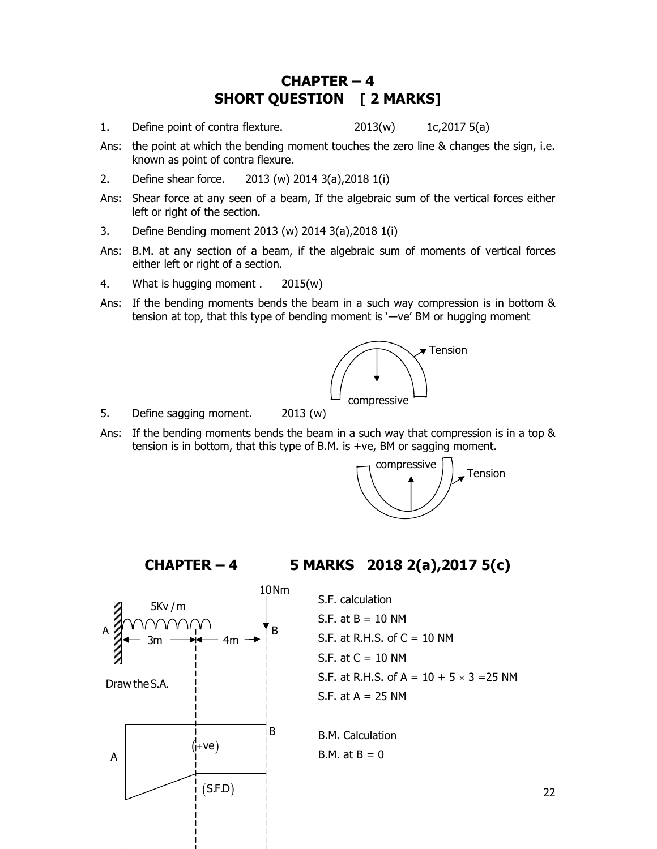#### CHAPTER – 4 SHORT QUESTION [ 2 MARKS]

- 1. Define point of contra flexture. 2013(w) 1c,2017 5(a)
- Ans: the point at which the bending moment touches the zero line & changes the sign, i.e. known as point of contra flexure.
- 2. Define shear force. 2013 (w) 2014 3(a),2018 1(i)
- Ans: Shear force at any seen of a beam, If the algebraic sum of the vertical forces either left or right of the section.
- 3. Define Bending moment 2013 (w) 2014 3(a),2018 1(i)
- Ans: B.M. at any section of a beam, if the algebraic sum of moments of vertical forces either left or right of a section.
- 4. What is hugging moment . 2015(w)
- Ans: If the bending moments bends the beam in a such way compression is in bottom & tension at top, that this type of bending moment is '―ve' BM or hugging moment



- 5. Define sagging moment. 2013 (w)
- Ans: If the bending moments bends the beam in a such way that compression is in a top & tension is in bottom, that this type of B.M. is +ve, BM or sagging moment.



#### CHAPTER – 4 5 MARKS 2018 2(a),2017 5(c)



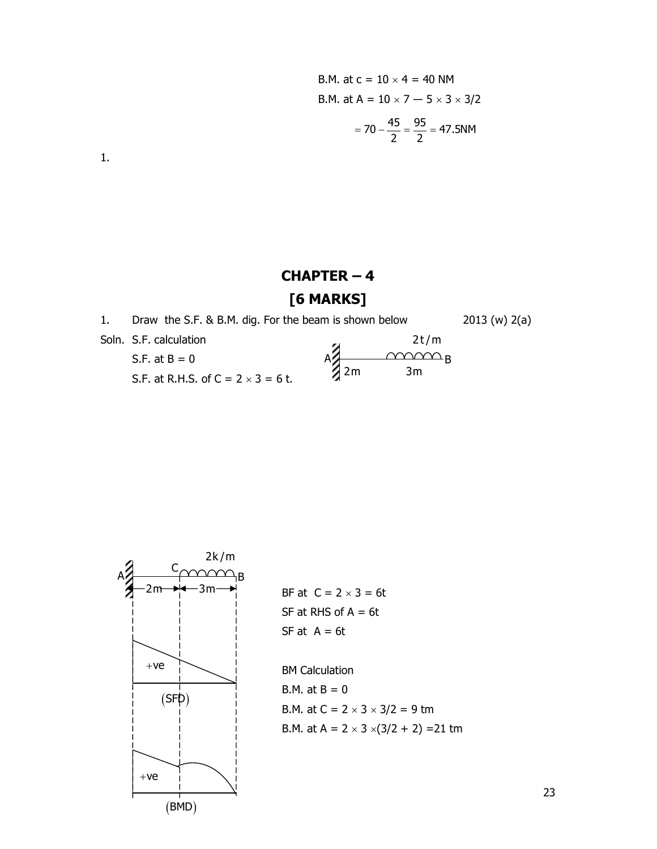B.M. at c = 10 × 4 = 40 NM  
\nB.M. at A = 
$$
10 \times 7 - 5 \times 3 \times 3/2
$$
  
\n=  $70 - \frac{45}{2} = \frac{95}{2} = 47.5NM$ 

1.

## CHAPTER – 4 [6 MARKS]

| 1. | Draw the S.F. & B.M. dig. For the beam is shown below |          | 2013 (w) 2(a) |
|----|-------------------------------------------------------|----------|---------------|
|    | Soln. S.F. calculation                                | 2t/m     |               |
|    | S.F. at $B = 0$                                       |          |               |
|    | S.F. at R.H.S. of $C = 2 \times 3 = 6$ t.             | 2m<br>3m |               |



 $3m \rightarrow$  BF at  $C = 2 \times 3 = 6t$ SF at RHS of  $A = 6t$ SF at  $A = 6t$ 

> BM Calculation B.M. at  $B = 0$ B.M. at  $C = 2 \times 3 \times 3/2 = 9$  tm B.M. at  $A = 2 \times 3 \times (3/2 + 2) = 21$  tm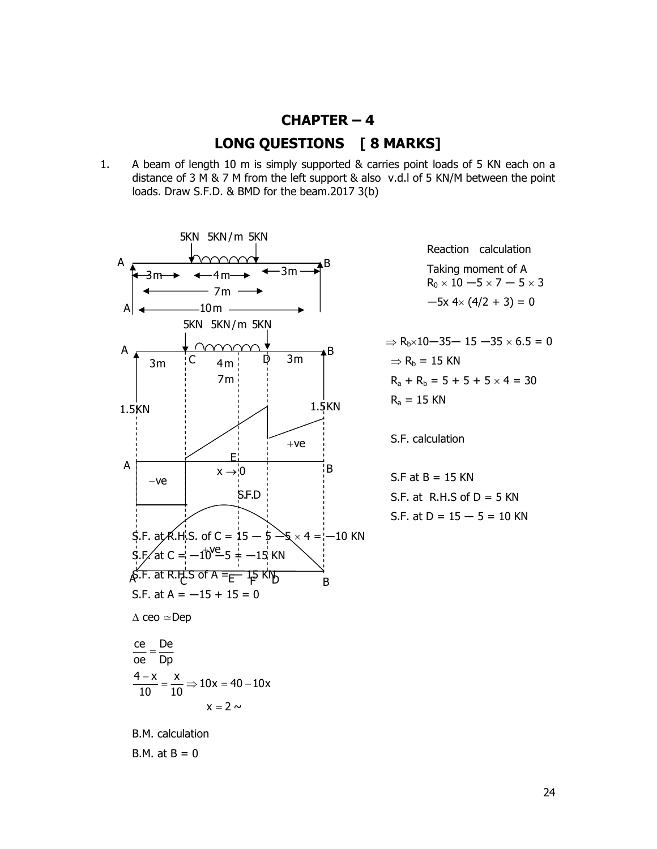- $CHAPTER 4$ LONG QUESTIONS [ 8 MARKS]
- 1. A beam of length 10 m is simply supported & carries point loads of 5 KN each on a distance of 3 M & 7 M from the left support & also v.d.l of 5 KN/M between the point loads. Draw S.F.D. & BMD for the beam.2017 3(b)



 Reaction calculation  $R_0 \times 10 - 5 \times 7 - 5 \times 3$ 

 $R_a + R_b = 5 + 5 + 5 \times 4 = 30$ 

S.F. calculation

S.F at B = 15 KN  
S.F. at R.H.S of D = 5 KN  
S.F. at D = 
$$
15 - 5 = 10
$$
 KN

B.M. at  $B = 0$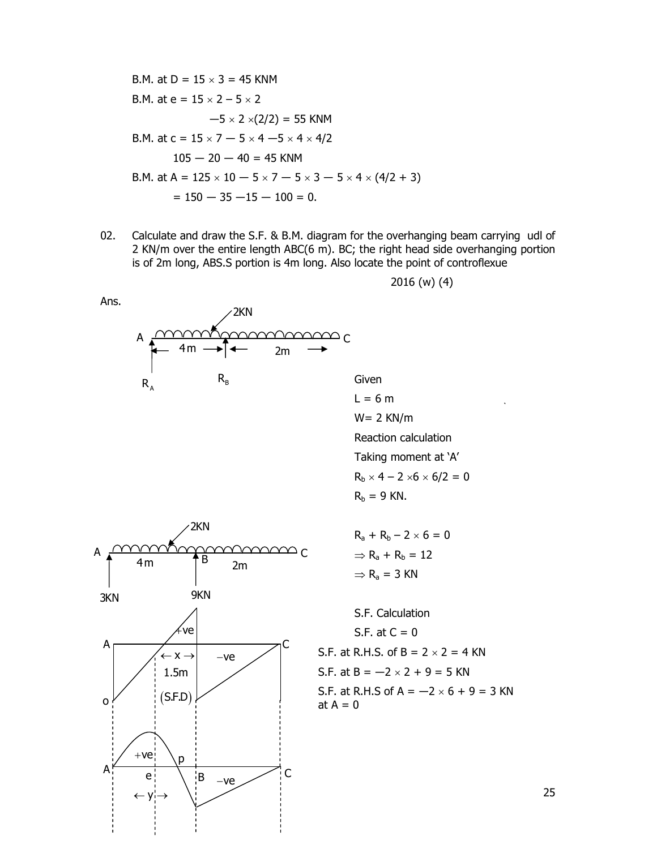

02. Calculate and draw the S.F. & B.M. diagram for the overhanging beam carrying udl of 2 KN/m over the entire length ABC(6 m). BC; the right head side overhanging portion is of 2m long, ABS.S portion is 4m long. Also locate the point of controflexue







$$
R_a + R_b - 2 \times 6 = 0
$$
  
\n
$$
\Rightarrow R_a + R_b = 12
$$
  
\n
$$
\Rightarrow R_a = 3 \text{ KN}
$$

 S.F. Calculation S.F. at  $C = 0$ S.F. at  $B = -2 \times 2 + 9 = 5$  KN S.F. at R.H.S of  $A = -2 \times 6 + 9 = 3$  KN at  $A = 0$ 

2016 (w) (4)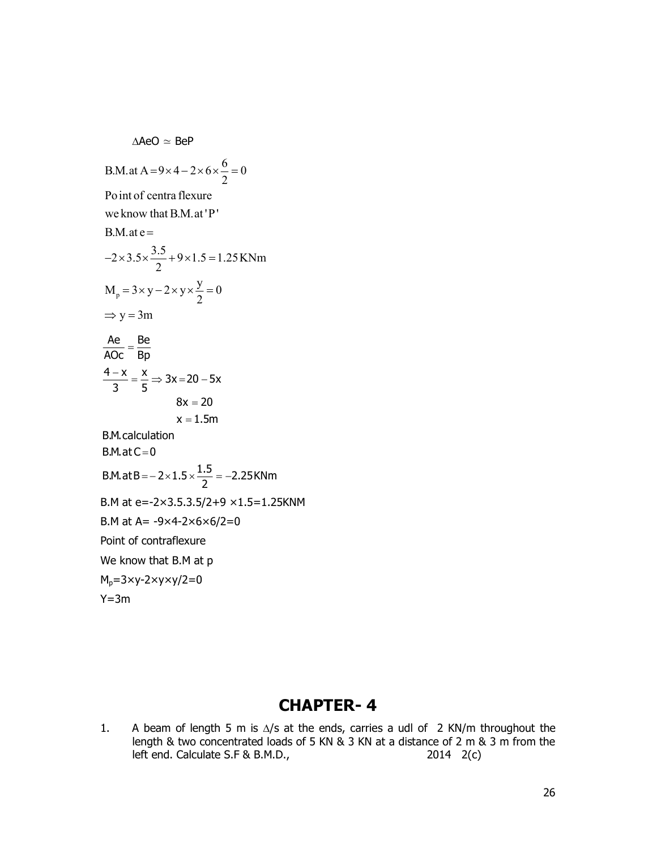$\triangle$ AeO  $\simeq$  BeP B.M.at A =  $9 \times 4 - 2 \times 6 \times \frac{6}{2} = 0$  Point of centra flexure B.M at e=-2×3.5.3.5/2+9 ×1.5=1.25KNM B.M at  $A = -9 \times 4 - 2 \times 6 \times 6 / 2 = 0$ Point of contraflexure We know that B.M at p  $M_p = 3 \times y - 2 \times y \times y / 2 = 0$  $Y=3m$  $\frac{\text{Ae}}{\text{Ae}} = \frac{\text{Be}}{\text{Be}}$  $\frac{4-x}{2} = \frac{x}{5} \Rightarrow 3x = 20 - 5x$  $8x = 20$  $x = 1.5m$  $B.M.$ at C $= 0$ B.M.at B =  $-2 \times 1.5 \times \frac{1.5}{2} = -2.25$  KNm  $\overline{AOC}$  -  $\overline{Bp}$  $\frac{3}{3}$  =  $\frac{1}{5}$  -B.M.calculation  $M_p = 3 \times y - 2 \times y \times \frac{y}{2} = 0$ 2 we know that B.M.at 'P'  $B.M.$ at e=  $2 \times 3.5 \times \frac{3.5}{2} + 9 \times 1.5 = 1.25$  KNm 2 2  $\Rightarrow$  y = 3m  $=9\times4-2\times6\times\frac{6}{2}=0$  $-2 \times 3.5 \times \frac{3.5}{2} + 9 \times 1.5 = 1$ .  $=3\times y-2\times y\times \frac{y}{2}=0$ 

#### CHAPTER- 4

1. A beam of length 5 m is  $\Delta$ /s at the ends, carries a udl of 2 KN/m throughout the length & two concentrated loads of 5 KN & 3 KN at a distance of 2 m & 3 m from the left end. Calculate S.F & B.M.D., 2014 2(c)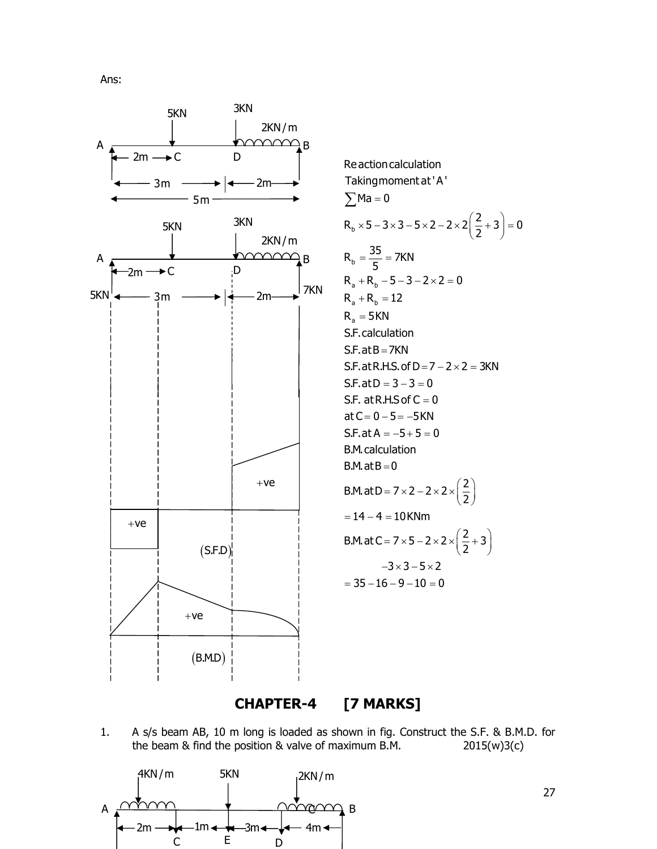Ans:

![](_page_26_Figure_1.jpeg)

![](_page_26_Figure_2.jpeg)

CHAPTER-4 [7 MARKS]

1. A s/s beam AB, 10 m long is loaded as shown in fig. Construct the S.F. & B.M.D. for the beam & find the position & valve of maximum B.M.  $2015(w)3(c)$ 

![](_page_26_Figure_5.jpeg)

27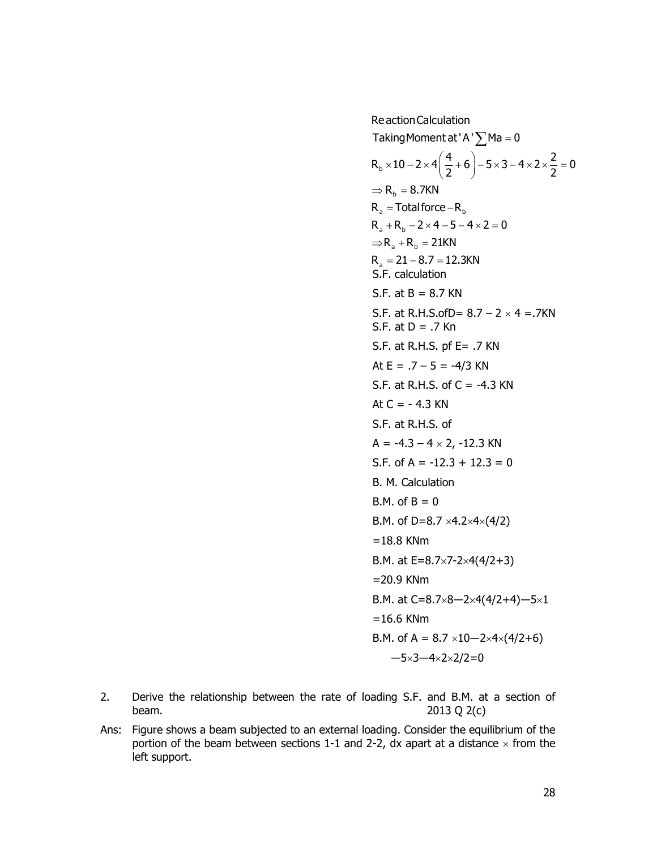ReactionCalculation  
\nTaking Moment at 'A' \_Ma = 0  
\nR<sub>b</sub> × 10 - 2 × 4(
$$
\frac{4}{2}
$$
 + 6) - 5 × 3 - 4 × 2 ×  $\frac{2}{2}$  = 0  
\n⇒ R<sub>b</sub> = 8.7KN  
\nR<sub>a</sub> = Total force - R<sub>b</sub>  
\nR<sub>a</sub> + R<sub>b</sub> - 2 × 4 - 5 - 4 × 2 = 0  
\n⇒ R<sub>a</sub> + R<sub>b</sub> = 21KN  
\nR<sub>a</sub> = 21 - 8.7 = 12.3KN  
\nS.F. calculation  
\nS.F. at B = 8.7 KN  
\nS.F. at B. 15.50D = 8.7 - 2 × 4 = .7KN  
\nS.F. at B. 15.50D = 8.7 - 2 × 4 = .7KN  
\nS.F. at B. .7 KN  
\nAt E = .7 - 5 = -4/3 KN  
\nAt E = .7 - 5 = -4/3 KN  
\nAt C = -4.3 KN  
\nS.F. at R.H.S. of C = -4.3 KN  
\nS.F. at R.H.S. of  
\nA = -4.3 - 4 × 2, -12.3 KN  
\nS.F. of A = -12.3 + 12.3 = 0  
\nB.M. calculation  
\nB.M. of B = 0  
\nB.M. of B = 0  
\nB.M. of B = 0  
\nB.M. of B = 0  
\nB.M. at E=8.7×7-2×4(4/2+3)  
\n=18.8 KMm  
\nB.M. at C=8.7×8-2×4(4/2+4) -5×1  
\n=16.6 KMm  
\nB.M. of A = 8.7 × 10-2×4×(4/2+6)  
\n-5×3-4×2×2/2=0

- 2. Derive the relationship between the rate of loading S.F. and B.M. at a section of beam. 2013 Q 2(c)
- Ans: Figure shows a beam subjected to an external loading. Consider the equilibrium of the portion of the beam between sections 1-1 and 2-2, dx apart at a distance  $\times$  from the left support.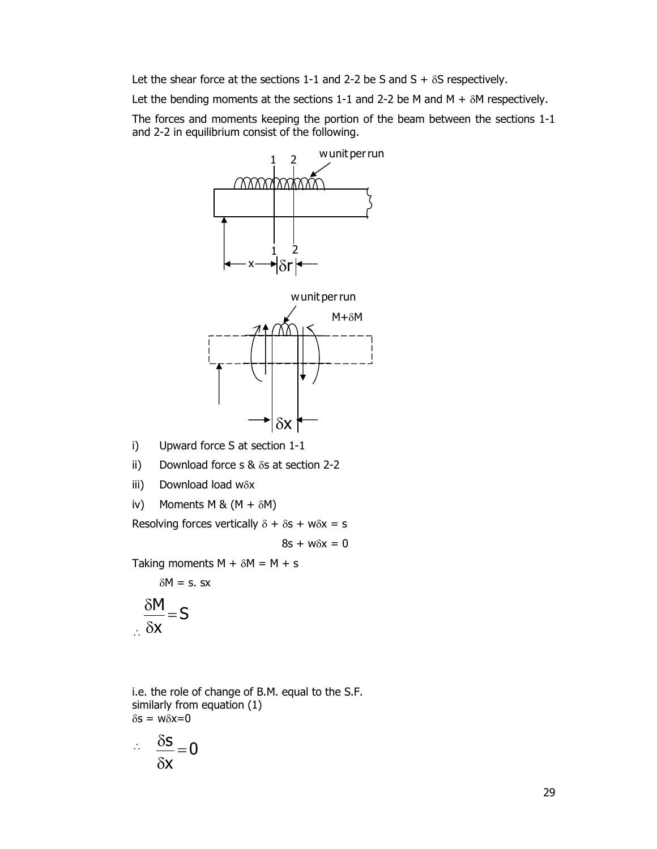Let the shear force at the sections 1-1 and 2-2 be S and  $S + \delta S$  respectively.

Let the bending moments at the sections 1-1 and 2-2 be M and M +  $\delta$ M respectively.

 The forces and moments keeping the portion of the beam between the sections 1-1 and 2-2 in equilibrium consist of the following.

![](_page_28_Figure_3.jpeg)

- i) Upward force S at section 1-1
- ii) Download force s  $&$   $\delta s$  at section 2-2
- iii) Download load  $w\delta x$
- iv) Moments M &  $(M + \delta M)$

Resolving forces vertically  $\delta + \delta s + w \delta x = s$ 

 $8s + w\delta x = 0$ 

Taking moments  $M + \delta M = M + s$ 

 $\delta M = s$ . sx

$$
\frac{\delta M}{\delta x} = S
$$

 i.e. the role of change of B.M. equal to the S.F. similarly from equation (1)  $\delta s = w \delta x = 0$ 

$$
\therefore \quad \frac{\delta s}{\delta x} = 0
$$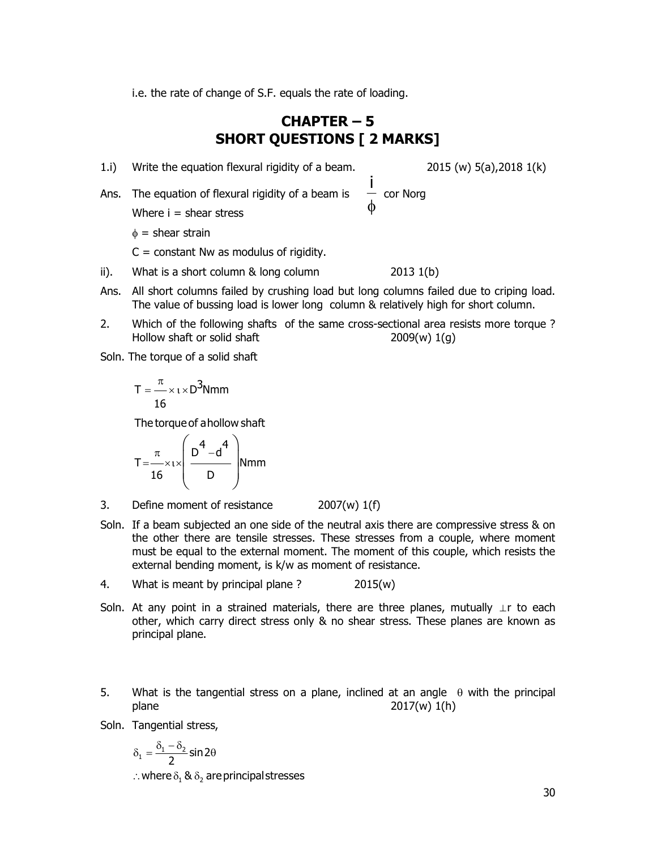i.e. the rate of change of S.F. equals the rate of loading.

#### CHAPTER – 5 SHORT QUESTIONS [ 2 MARKS]

1.i) Write the equation flexural rigidity of a beam. 2015 (w) 5(a),2018 1(k)

Ans. The equation of flexural rigidity of a beam is Where  $i =$  shear stress  $\phi$ i

 $\phi$  = shear strain

 $C =$  constant Nw as modulus of rigidity.

- ii). What is a short column  $\&$  long column  $\quad 2013 \; 1(b)$
- Ans. All short columns failed by crushing load but long columns failed due to criping load. The value of bussing load is lower long column & relatively high for short column.
- 2. Which of the following shafts of the same cross-sectional area resists more torque ? Hollow shaft or solid shaft  $2009(w) 1(q)$
- Soln. The torque of a solid shaft

$$
T = \frac{\pi}{16} \times \iota \times D^3 Nmm
$$

The torque of a hollow shaft

$$
T = \frac{\pi}{16} \times 1 \times \left(\frac{D^4 - d^4}{D}\right)
$$
 Nmm

- 3. Define moment of resistance 2007(w) 1(f)
- Soln. If a beam subjected an one side of the neutral axis there are compressive stress & on the other there are tensile stresses. These stresses from a couple, where moment must be equal to the external moment. The moment of this couple, which resists the external bending moment, is k/w as moment of resistance.
- 4. What is meant by principal plane ? 2015(w)
- Soln. At any point in a strained materials, there are three planes, mutually ⊥r to each other, which carry direct stress only & no shear stress. These planes are known as principal plane.
- 5. What is the tangential stress on a plane, inclined at an angle  $\theta$  with the principal plane 2017(w) 1(h)

Soln. Tangential stress,

$$
\delta_1 = \frac{\delta_1 - \delta_2}{2} \sin 2\theta
$$

.. where  $\delta_1 \otimes \delta_2$  are principal stresses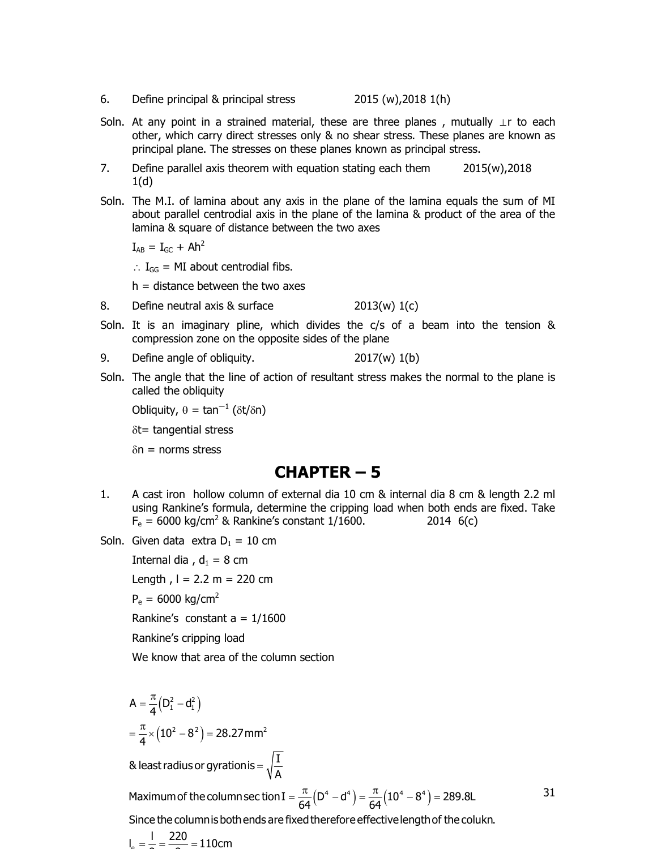- 6. Define principal & principal stress 2015 (w),2018 1(h)
- Soln. At any point in a strained material, these are three planes, mutually ⊥r to each other, which carry direct stresses only & no shear stress. These planes are known as principal plane. The stresses on these planes known as principal stress.
- 7. Define parallel axis theorem with equation stating each them 2015(w),2018  $1(d)$
- Soln. The M.I. of lamina about any axis in the plane of the lamina equals the sum of MI about parallel centrodial axis in the plane of the lamina & product of the area of the lamina & square of distance between the two axes

 $I_{AB} = I_{GC} + Ah^2$ 

 $\therefore$  I<sub>GG</sub> = MI about centrodial fibs.

 $h =$  distance between the two axes

- 8. Define neutral axis & surface 2013(w) 1(c)
- Soln. It is an imaginary pline, which divides the c/s of a beam into the tension & compression zone on the opposite sides of the plane
- 9. Define angle of obliquity. 2017(w) 1(b)
- Soln. The angle that the line of action of resultant stress makes the normal to the plane is called the obliquity

Obliquity,  $\theta = \tan^{-1} (\delta t / \delta n)$ 

 $\delta t$ = tangential stress

 $\delta n$  = norms stress

#### CHAPTER – 5

- 1. A cast iron hollow column of external dia 10 cm & internal dia 8 cm & length 2.2 ml using Rankine's formula, determine the cripping load when both ends are fixed. Take  $F_e = 6000 \text{ kg/cm}^2$  & Rankine's constant 1/1600. 2014 6(c) angential stress<br>
norms stress<br> **CHAPTER - 5**<br>
tiron hollow column of external dia 10 cm & internal dia 8 cm & length 2.2 n<br>
Rankine's formula, determine the cripping load when both ends are fixed. Tak<br>
5000 kg/cm<sup>2</sup> & Ra **CHAPTER - 5**<br>
of the strip in the strength and dia 10 cm & internal dia 8 cm & length 2.2 m<br>
Rankine's formula, determine the cripping load when both ends are fixed. Take<br>
6000 kg/cm<sup>2</sup> & Rankine's constant 1/1600.<br>
1 da
- Soln. Given data extra  $D_1 = 10$  cm

Internal dia ,  $d_1 = 8$  cm Length,  $l = 2.2$  m = 220 cm  $P_e = 6000 \text{ kg/cm}^2$ Rankine's constant  $a = 1/1600$ 

Rankine's cripping load

We know that area of the column section

 $A = \frac{\pi}{4} (D_1^2 - d_1^2)$  $\frac{\pi}{4}$  ×  $(10^2 - 8^2)$  = 28.27 mm<sup>2</sup>  $=\frac{\pi}{4}(D_1^2 - d$  $=\frac{\pi}{4}\times(10^2-8^2)=2$ 

& least radius or gyration is  $=\sqrt{\frac{\text{I}}{\text{A}}}$  $=$ 

tion<br>  $( D^4 - d^4 ) = \frac{\pi}{64} (10^4 - 8^4) = 289.8L$ <br>
Alterefore effective length of the colukn. Maximum of the column sec tion I =  $\frac{\pi}{64}(D^4 - d^4) = \frac{\pi}{64}(10^4 - 8^4) = 289.8L$  $\frac{64}{64}$   $\frac{64}{64}$  $=\frac{\pi}{64}(D^4 - d^4) = \frac{\pi}{64}(10^4 - 8^4) = 2$ 

31

Since the column is both ends are fixed therefore effective length of the colukn.

 $I_{\circ} = \frac{1}{2} = \frac{220}{2} = 110$ cm  $=\frac{1}{2}=\frac{220}{2}=1$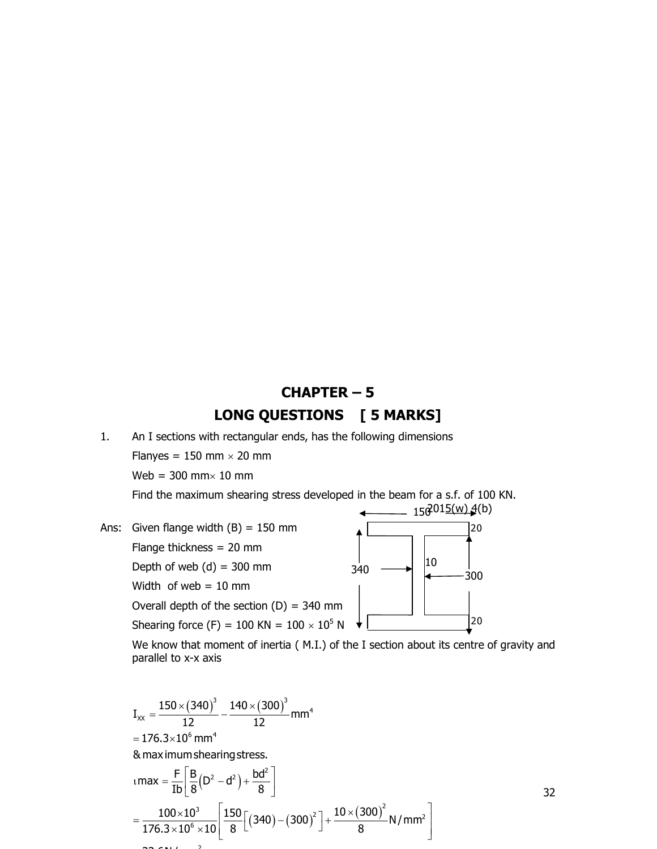## CHAPTER – 5 LONG QUESTIONS [5 MARKS]

1. An I sections with rectangular ends, has the following dimensions

Flanyes =  $150$  mm  $\times$  20 mm

Web =  $300$  mm $\times$  10 mm

Find the maximum shearing stress developed in the beam for a s.f. of 100 KN.

![](_page_31_Figure_5.jpeg)

 We know that moment of inertia ( M.I.) of the I section about its centre of gravity and parallel to x-x axis

width (B) = 150 mm<br>
ess = 20 mm<br>
(d) = 300 mm<br>
of the section (D) = 340 mm<br>
of the section (D) = 340 mm<br>
of the section (D) = 340 mm<br>
of the section (D) = 340 mm<br>
of the section (D) = 340 mm<br>
of the section (D) = 340 mm<br> and mm<br>
mm<br>
in mm<br>
i 340<br>
i 10<br>
300<br>
o KN = 100 × 10<sup>5</sup> N<br>
of inertia (M.I.) of the I section about its centre of gravity and<br>  $\times$  (300)<sup>3</sup><br>
20<br>  $\times$  (300)<sup>3</sup><br>
mm<sup>4</sup><br>
ess.<br>
55.<br>
(340) – (300)<sup>2</sup>] +  $\frac{10 \times (300)^2}{8}$  N/m  $3 \t 140 \t (200)^3$  $\alpha$  =  $\frac{130 \times (310)}{12} - \frac{110 \times (300)}{12}$  mm<sup>4</sup>  $= 176.3 \times 10^6$  mm<sup>4</sup>  $max = \frac{F}{2} \left[ \frac{B}{2} (D^2 - d^2) + \frac{b d^2}{2} \right]$ <sup>3</sup> 150  $\left[ (240) (200)^2 \right]$ ,  $10 \times (300)^2$  N/mm<sup>2</sup>  $\left[\frac{100\times10^{3}}{2\times10^{6}\times10}\right]\left[\frac{150}{8}\right]\left[(340)-(300)^{2}\right]+\frac{10\times(300)^{2}}{8}N/mm^{2}$  $I_{xx} = \frac{150 \times (340)^3}{12} - \frac{140 \times (300)^3}{12}$  mm<sup>4</sup>  $\frac{12}{12}$   $\frac{12}{12}$ & maximumshearingstress.  $\frac{1}{16} \left| \frac{1}{8} \right|^{1/2}$  8  $\frac{1}{176.3 \times 10^6 \times 10}$  8  $\left[\frac{(340)}{(340)} - (300)\right] + \frac{8}{176.3 \times 10^6 \times 10}$  $=\frac{150\times(340)^3}{13}-\frac{140\times(340)^3}{13}$  $tanax = \frac{F}{Ib} \left[ \frac{B}{8} (D^2 - d^2) + \frac{bd^2}{8} \right]$  $=\frac{100\times10^{3}}{176.2\times10^{6} \text{ J}}\left[\frac{150}{2}\left[\left(340\right)-\left(300\right)^{2}\right]+\frac{10\times\left(300\right)^{2}}{2}\text{ N/mm}^{2}\right]$  $\overline{10^6 \times 10}$   $\overline{8}$   $\left[ (340) - (300) \right]$  +  $\overline{8}$  N/mm<sup>-</sup>

2 33.6N/mm

32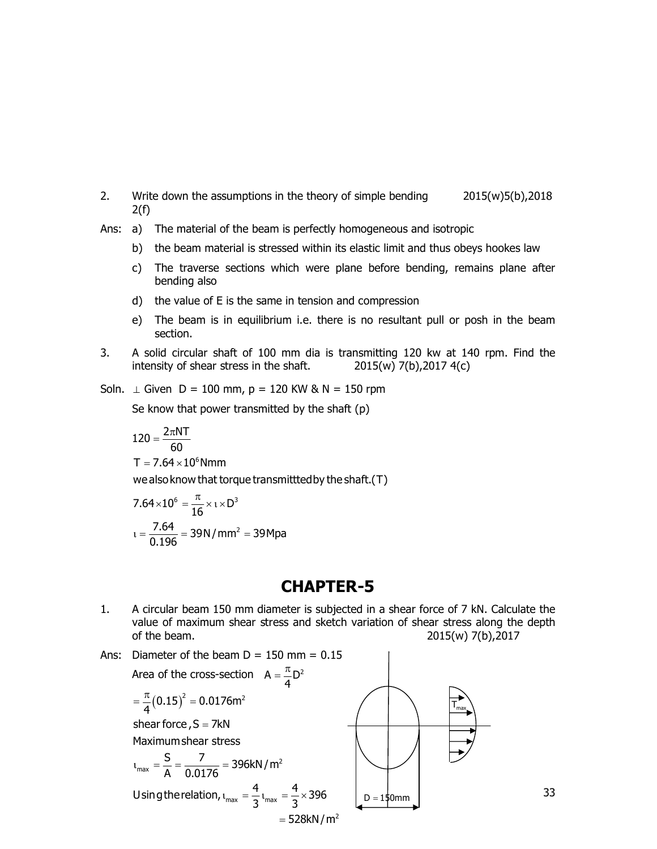- 2. Write down the assumptions in the theory of simple bending 2015(w)5(b),2018  $2(f)$
- Ans: a) The material of the beam is perfectly homogeneous and isotropic
	- b) the beam material is stressed within its elastic limit and thus obeys hookes law
	- c) The traverse sections which were plane before bending, remains plane after bending also
	- d) the value of E is the same in tension and compression
	- e) The beam is in equilibrium i.e. there is no resultant pull or posh in the beam section.
- 3. A solid circular shaft of 100 mm dia is transmitting 120 kw at 140 rpm. Find the intensity of shear stress in the shaft. 2015(w) 7(b),2017 4(c)

Soln.  $\perp$  Given D = 100 mm, p = 120 KW & N = 150 rpm

Se know that power transmitted by the shaft (p)

$$
120=\frac{2\pi NT}{60}
$$

$$
T=7.64\times10^6\text{Nmm}
$$

wealsoknow that torque transmitttedby theshaft.(T)

$$
7.64 \times 10^{6} = \frac{\pi}{16} \times 1 \times D^{3}
$$

$$
1 = \frac{7.64}{0.196} = 39 \text{ N/mm}^{2} = 39 \text{ Mpa}
$$

#### CHAPTER-5

1. A circular beam 150 mm diameter is subjected in a shear force of 7 kN. Calculate the value of maximum shear stress and sketch variation of shear stress along the depth of the beam. 2015(w) 7(b),2017

33

Ans: Diameter of the beam  $D = 150$  mm =  $0.15$ Area of the cross-section  $A = \frac{\pi}{4}D^2$ π <sup>2</sup> <sup>2</sup>  $m_{\text{max}} = \frac{S}{\Delta} = \frac{7}{0.0176} = 396 \text{kN/m}^2$ Using the relation,  $t_{max} = \frac{4}{3} t_{max} = \frac{4}{3} \times 396$  $= 528kN/m<sup>2</sup>$  $\frac{\pi}{4}(0.15)^2 = 0.0176$ m<sup>2</sup> shear force,  $S = 7kN$ Maximumshear stress  $\overline{A}$   $\overline{0.0176}$  $\overline{3}$ <sup>l</sup>max =  $\overline{3}$ <sup>x</sup>  $=\frac{\pi}{4}(0.15)^2=0$  $t_{\text{max}} = \frac{5}{4} = \frac{7}{2.8476} = 3$  $t_{\text{max}} = \frac{4}{2} t_{\text{max}} = \frac{4}{2} \times 3$  $T_{\text{max}}$  $D = 150$ mm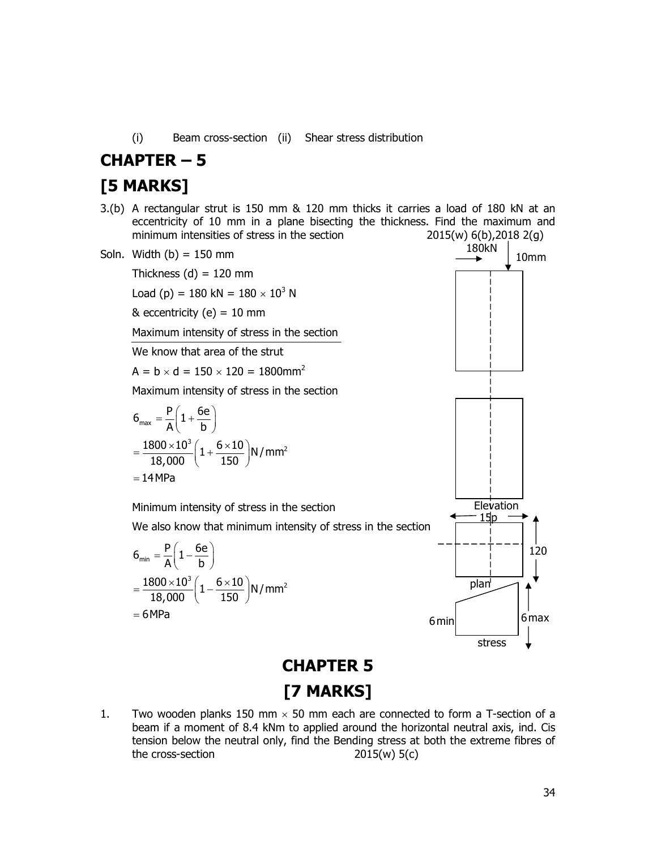(i) Beam cross-section (ii) Shear stress distribution

# CHAPTER – 5

## [5 MARKS]

3.(b) A rectangular strut is 150 mm & 120 mm thicks it carries a load of 180 kN at an eccentricity of 10 mm in a plane bisecting the thickness. Find the maximum and minimum intensities of stress in the section  $2015(w) 6(b)$ ,  $2018 2(g)$ 

![](_page_33_Figure_4.jpeg)

# [7 MARKS]

1. Two wooden planks 150 mm  $\times$  50 mm each are connected to form a T-section of a beam if a moment of 8.4 kNm to applied around the horizontal neutral axis, ind. Cis tension below the neutral only, find the Bending stress at both the extreme fibres of the cross-section  $2015(w) 5(c)$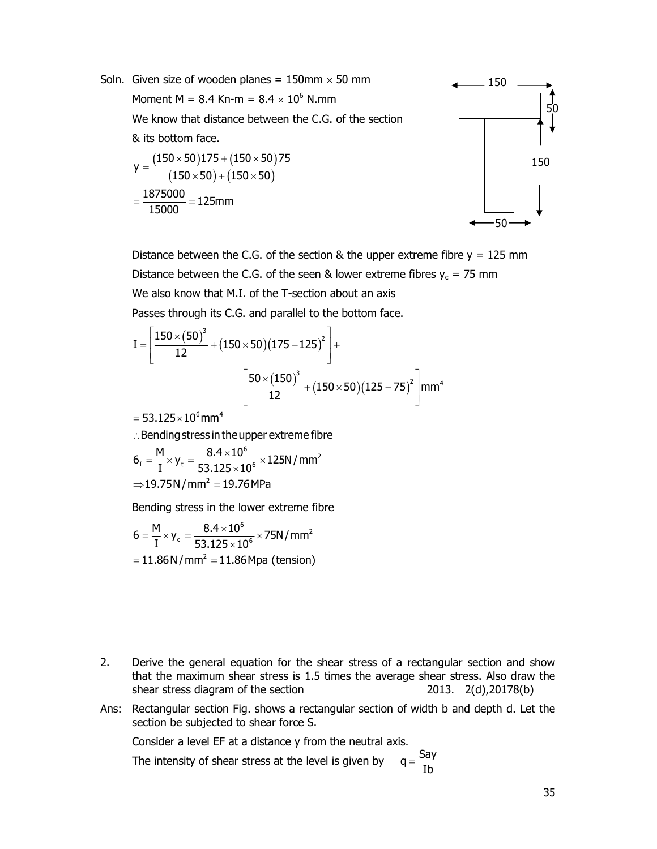![](_page_34_Figure_0.jpeg)

Distance between the C.G. of the section & the upper extreme fibre  $y = 125$  mm Distance between the C.G. of the seen & lower extreme fibres  $y_c = 75$  mm We also know that M.I. of the T-section about an axis Passes through its C.G. and parallel to the bottom face.

$$
I = \left[\frac{150 \times (50)^3}{12} + (150 \times 50)(175 - 125)^2\right] + \left[\frac{50 \times (150)^3}{12} + (150 \times 50)(125 - 75)^2\right] \text{mm}^4
$$

 $= 53.125 \times 10^6$ mm<sup>4</sup>

: Bending stress in the upper extreme fibre

$$
\begin{aligned} &6_{_I}=\frac{M}{I}\times y_{_t}=\frac{8.4\times10^6}{53.125\times10^6}\times125N/mm^2 \\ &\Rightarrow 19.75N/mm^2=19.76 MPa \end{aligned}
$$

Bending stress in the lower extreme fibre

$$
6 = \frac{M}{I} \times y_c = \frac{8.4 \times 10^6}{53.125 \times 10^6} \times 75N/mm^2
$$
  
= 11.86 N/mm<sup>2</sup> = 11.86 Mpa (tension)

- 2. Derive the general equation for the shear stress of a rectangular section and show that the maximum shear stress is 1.5 times the average shear stress. Also draw the shear stress diagram of the section 2013. 2(d),20178(b)
- Ans: Rectangular section Fig. shows a rectangular section of width b and depth d. Let the section be subjected to shear force S.

Consider a level EF at a distance y from the neutral axis.

 The intensity of shear stress at the level is given by  $q = \frac{Say}{1}$ Ib  $=$ 

50

150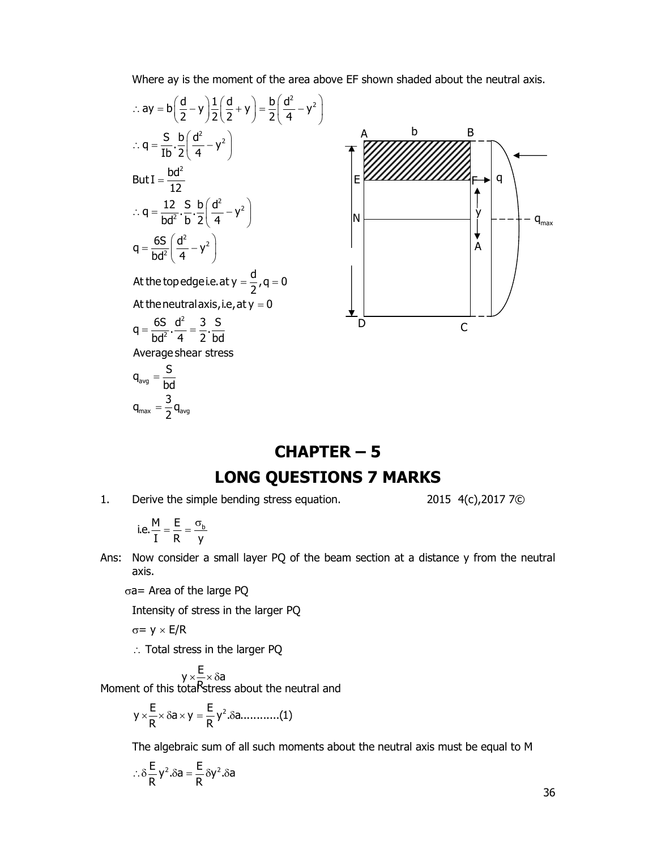Where ay is the moment of the area above EF shown shaded about the neutral axis.

$$
\therefore ay = b\left(\frac{d}{2} - y\right) \frac{1}{2}\left(\frac{d}{2} + y\right) = \frac{b}{2}\left(\frac{d^2}{4} - y^2\right)
$$
\n
$$
\therefore q = \frac{b}{12} \frac{b^2}{12}
$$
\n
$$
\therefore q = \frac{12}{bd^2} \cdot \frac{5}{b} \cdot \frac{b}{2}\left(\frac{d^2}{4} - y^2\right)
$$
\n
$$
q = \frac{65}{bd^2} \left(\frac{d^2}{4} - y^2\right)
$$
\nAt the topedgei.e. at  $y = 0$   
\nAt the nneutral axis, i.e., at  $y = 0$   
\n
$$
q = \frac{65}{bd^2} \cdot \frac{d^2}{4} = \frac{3}{2} \cdot \frac{5}{bd}
$$
\n
$$
q_{avg} = \frac{5}{bd}
$$
\n
$$
q_{avg} = \frac{5}{bd}
$$
\n
$$
q_{max} = \frac{3}{2} q_{avg}
$$

# CHAPTER – 5 LONG QUESTIONS 7 MARKS

1. Derive the simple bending stress equation. 2015 4(c), 2017 7©

i.e. 
$$
\frac{M}{I} = \frac{E}{R} = \frac{\sigma_b}{y}
$$

 $_{\text{max}} = \frac{1}{2}$   $_{\text{Avg}}$ 

- Ans: Now consider a small layer PQ of the beam section at a distance y from the neutral axis.
	- $\sigma$ a= Area of the large PQ

Intensity of stress in the larger PQ

$$
\sigma = y \times E/R
$$

 $\therefore$  Total stress in the larger PQ

$$
y \times \frac{E}{N} \times \delta a
$$
\nMoment of this total  
\nStress about the neutral and

$$
y \times \frac{E}{R} \times \delta a \times y = \frac{E}{R} y^2 . \delta a \dots (1)
$$

The algebraic sum of all such moments about the neutral axis must be equal to M

$$
\therefore \delta \frac{E}{R} y^2 . \delta a = \frac{E}{R} \delta y^2 . \delta a
$$

36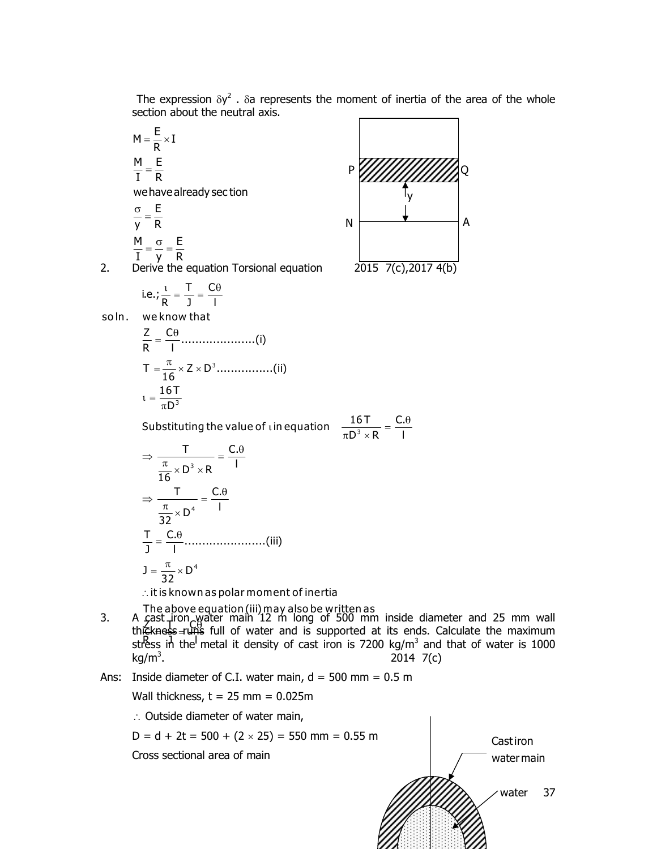The expression  $\delta y^2$ .  $\delta a$  represents the moment of inertia of the area of the whole section about the neutral axis.

$$
M = \frac{E}{R} \times I
$$
\n
$$
\frac{M}{I} = \frac{E}{R}
$$
\nwe have already section\n
$$
\frac{\sigma}{y} = \frac{E}{R}
$$
\n
$$
\frac{M}{I} = \frac{\sigma}{y} = \frac{E}{R}
$$
\nDerive the equation Torsional equation\n
$$
i.e., \frac{i}{R} = \frac{T}{J} = \frac{C\theta}{I}
$$
\nwe know that\n
$$
\frac{Z}{R} = \frac{C\theta}{I}
$$
\nwe know that\n
$$
\frac{Z}{R} = \frac{C\theta}{I}
$$
\n
$$
i = \frac{16T}{\pi D^3}
$$
\nSubstituting the value of *i* in equation\n
$$
i = \frac{\pi}{16} \times D^3 \times R
$$
\n
$$
\Rightarrow \frac{T}{\frac{\pi}{16} \times D^3 \times R} = \frac{C.\theta}{I}
$$
\n
$$
\Rightarrow \frac{T}{\frac{\pi}{32} \times D^4} = \frac{C.\theta}{I}
$$
\n
$$
\frac{T}{J} = \frac{C.\theta}{I}
$$
\n
$$
\frac{T}{J} = \frac{C.\theta}{I}
$$
\n
$$
i = \frac{\pi}{32} \times D^4
$$
\n
$$
j = \frac{\pi}{32} \times D^4
$$
\n
$$
j = \frac{\pi}{32} \times D^4
$$
\n
$$
j = \frac{\pi}{32} \times D^4
$$
\n
$$
j = \frac{\pi}{32} \times D^4
$$
\n
$$
k = \frac{\pi}{32}
$$
\n
$$
k = \frac{\pi}{32}
$$
\n
$$
k = \frac{\pi}{32}
$$
\n
$$
k = \frac{\pi}{32}
$$
\n
$$
k = \frac{\pi}{32}
$$
\n
$$
k = \frac{\pi}{32}
$$
\n
$$
k = \frac{\pi}{32}
$$
\n
$$
k = \frac{\pi}{32}
$$
\n
$$
k = \frac{\pi}{32}
$$
\n
$$
k = \frac{\pi}{32}
$$
\n
$$
k = \frac{\pi}{32}
$$
\n
$$
k = \frac{\pi}{32}
$$
\n
$$
k = \frac{\pi
$$

![](_page_36_Figure_2.jpeg)

2. Derive the equation Torsional equation  $2015 \t7(c)$ ,  $2017 \t4(b)$ 

so In

$$
\frac{16T}{\tau D^3 \times R} = \frac{C.\theta}{I}
$$

The above equation (iii) may also be wr<u>itte</u>n as

3. A cast iron water main 12 m long of 500 mm inside diameter and 25 mm wall ported at its ends. Calculate the maximum thickness=uns full of water and is supported at its ends. Calculate the maximum<br>stress in the metal it density of cast iron is 7200 kg/m<sup>3</sup> and that of water is 1000  $kg/m<sup>3</sup>$ . . 2014 7(c)

Ans: Inside diameter of C.I. water main,  $d = 500$  mm = 0.5 m

Wall thickness,  $t = 25$  mm =  $0.025$ m

 $\therefore$  Outside diameter of water main,

 $D = d + 2t = 500 + (2 \times 25) = 550$  mm = 0.55 m

Cross sectional area of main

![](_page_36_Figure_15.jpeg)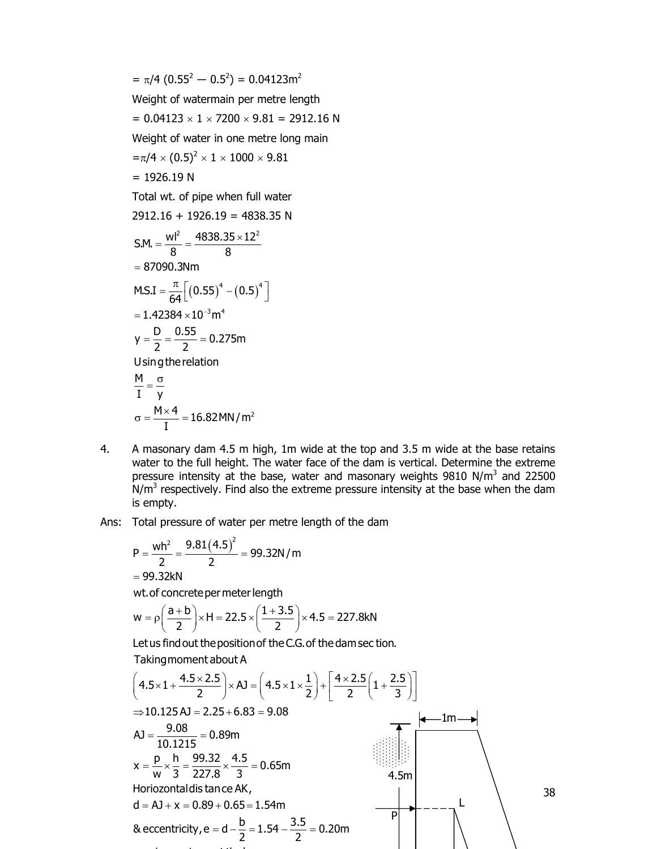$$
= \pi/4 (0.55^2 - 0.5^2) = 0.04123m^2
$$
  
\nWeight of watermain per metre length  
\n
$$
= 0.04123 \times 1 \times 7200 \times 9.81 = 2912.16 N
$$
  
\nWeight of water in one metre long main  
\n
$$
= \pi/4 \times (0.5)^2 \times 1 \times 1000 \times 9.81
$$
  
\n
$$
= 1926.19 N
$$
  
\nTotal wt. of pipe when full water  
\n2912.16 + 1926.19 = 4838.35 N  
\nSM. =  $\frac{wl^2}{8} = \frac{4838.35 \times 12^2}{8}$   
\n
$$
= 87090.3 Nm
$$
  
\nMS.I =  $\frac{\pi}{64} [(0.55)^4 - (0.5)^4]$   
\n
$$
= 1.42384 \times 10^{-3} m^4
$$
  
\n
$$
y = \frac{D}{2} = \frac{0.55}{2} = 0.275m
$$
  
\nUsing the relation  
\n
$$
\frac{M}{I} = \frac{\sigma}{y}
$$
  
\n
$$
\sigma = \frac{M \times 4}{I} = 16.82 M N/m^2
$$

- 4. A masonary dam 4.5 m high, 1m wide at the top and 3.5 m wide at the base retains water to the full height. The water face of the dam is vertical. Determine the extreme pressure intensity at the base, water and masonary weights  $9810$  N/m<sup>3</sup> and 22500  $N/m<sup>3</sup>$  respectively. Find also the extreme pressure intensity at the base when the dam is empty.
- Ans: Total pressure of water per metre length of the dam

$$
P = \frac{wh^2}{2} = \frac{9.81(4.5)^2}{2} = 99.32N/m
$$
  
= 99.32kN

wt.of concretepermeterlength

maximumstress and the control of the control of the control of the control of the control of

$$
w = \rho \left( \frac{a+b}{2} \right) \times H = 22.5 \times \left( \frac{1+3.5}{2} \right) \times 4.5 = 227.8 \text{kN}
$$

at the base of the base

Let us find out the position of the C.G. of the dam sec tion. Takingmoment about A

$$
\left(4.5 \times 1 + \frac{4.5 \times 2.5}{2}\right) \times AJ = \left(4.5 \times 1 \times \frac{1}{2}\right) + \left[\frac{4 \times 2.5}{2}\left(1 + \frac{2.5}{3}\right)\right]
$$
  
\n
$$
\Rightarrow 10.125 AJ = 2.25 + 6.83 = 9.08
$$
  
\n
$$
AJ = \frac{9.08}{10.1215} = 0.89m
$$
  
\n
$$
x = \frac{p}{w} \times \frac{h}{3} = \frac{99.32}{227.8} \times \frac{4.5}{3} = 0.65m
$$
  
\nHorizontal is tance AK,  
\n
$$
d = AJ + x = 0.89 + 0.65 = 1.54m
$$
  
\n8 eccentricity, e = d -  $\frac{b}{2}$  = 1.54 -  $\frac{3.5}{2}$  = 0.20m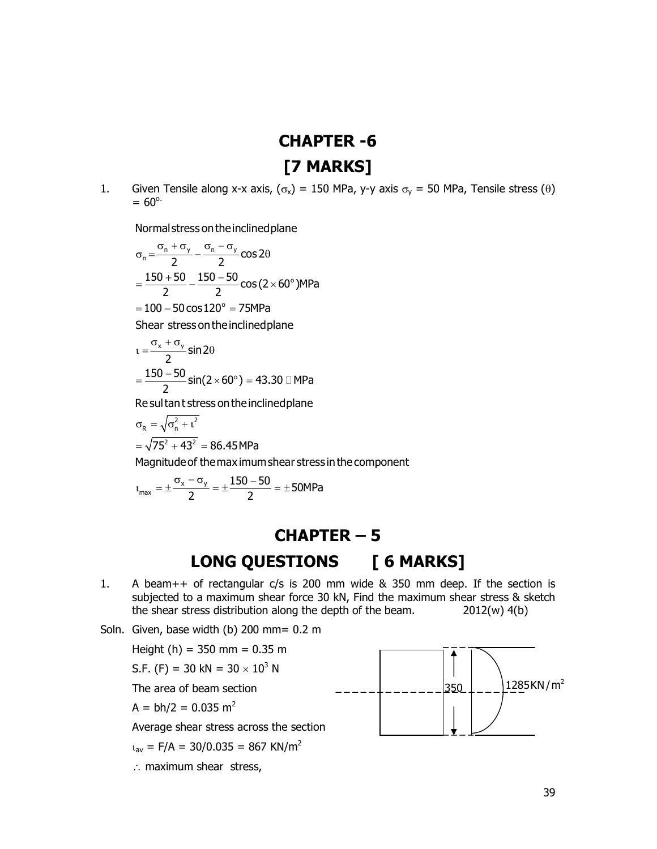# CHAPTER -6 [7 MARKS]

1. Given Tensile along x-x axis,  $(\sigma_x) = 150$  MPa, y-y axis  $\sigma_y = 50$  MPa, Tensile stress ( $\theta$ )  $= 60^{\circ}$ .

Normalstressontheinclinedplane

$$
\sigma_n = \frac{\sigma_n + \sigma_y}{2} - \frac{\sigma_n - \sigma_y}{2} \cos 2\theta
$$
  
= 
$$
\frac{150 + 50}{2} - \frac{150 - 50}{2} \cos (2 \times 60^\circ) \text{MPa}
$$
  
= 
$$
100 - 50 \cos 120^\circ = 75 \text{MPa}
$$
  
Shear stress on the inclined plane  

$$
\tau = \frac{\sigma_x + \sigma_y}{2} \sin 2\theta
$$
  
= 
$$
\frac{150 - 50}{2} \sin (2 \times 60^\circ) = 43.30 \text{ QMPa}
$$

2

Resultant stress ontheinclinedpl ane

$$
\sigma_R = \sqrt{\sigma_n^2 + t^2}
$$
  
=  $\sqrt{75^2 + 43^2}$  = 86.45 MPa

Magnitudeof themaximumshear stressinthecomponent

$$
\iota_{\mathsf{max}}=\pm\frac{\sigma_x-\sigma_y}{2}=\pm\frac{150-50}{2}=\pm 50 MPa
$$

# CHAPTER – 5 LONG QUESTIONS [ 6 MARKS]

- 1. A beam++ of rectangular c/s is 200 mm wide & 350 mm deep. If the section is subjected to a maximum shear force 30 kN, Find the maximum shear stress & sketch the shear stress distribution along the depth of the beam. 2012(w) 4(b)
- Soln. Given, base width (b) 200 mm= 0.2 m

Height (h) =  $350 \text{ mm} = 0.35 \text{ m}$ 

S.F. (F) = 30 kN = 30  $\times$  10<sup>3</sup> N

The area of beam section

 $A = bh/2 = 0.035$  m<sup>2</sup>

Average shear stress across the section

 $a_{av}$  = F/A = 30/0.035 = 867 KN/m<sup>2</sup>

 $\therefore$  maximum shear stress,

![](_page_38_Figure_19.jpeg)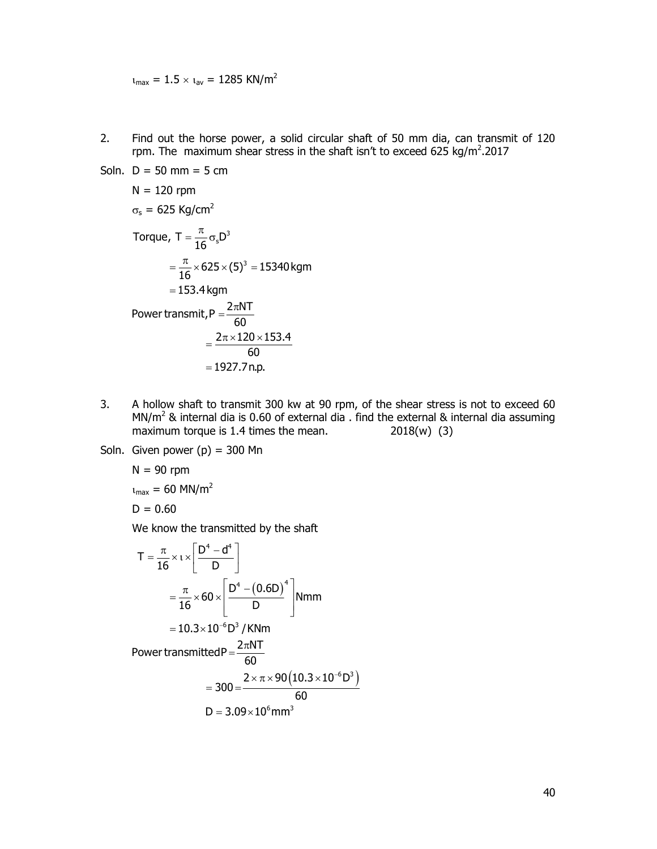$u_{max} = 1.5 \times u_{av} = 1285$  KN/m<sup>2</sup>

2. Find out the horse power, a solid circular shaft of 50 mm dia, can transmit of 120 rpm. The maximum shear stress in the shaft isn't to exceed 625 kg/m<sup>2</sup>.2017

Soln. 
$$
D = 50 \text{ mm} = 5 \text{ cm}
$$

\n $N = 120 \text{ rpm}$ 

\n $\sigma_s = 625 \text{ kg/cm}^2$ 

\nTorque,  $T = \frac{\pi}{16} \sigma_s D^3$ 

\n $= \frac{\pi}{16} \times 625 \times (5)^3 = 15340 \text{ kgm}$ 

\n $= 153.4 \text{ kgm}$ 

\nPower transmit,  $P = \frac{2\pi NT}{60}$ 

\n $= \frac{2\pi \times 120 \times 153.4}{60} = 1927.7 \text{ n.p.}$ 

- 3. A hollow shaft to transmit 300 kw at 90 rpm, of the shear stress is not to exceed 60 MN/m<sup>2</sup> & internal dia is 0.60 of external dia . find the external & internal dia assuming maximum torque is 1.4 times the mean. 2018(w) (3)
- Soln. Given power  $(p) = 300$  Mn

$$
N = 90 \text{ rpm}
$$
  

$$
t_{\text{max}} = 60 \text{ MN/m}^2
$$
  

$$
D = 0.60
$$

We know the transmitted by the shaft

A hollow shaft to transmit 300 kw at 90 rpm, of the shear stress is not to exceed 60  
\nMN/m<sup>2</sup> & internal dia is 0.60 of external dia . find the external & internal dia assuming  
\nmaximum torque is 1.4 times the mean.  
\nGiven power (p) = 300 Mn  
\nN = 90 rpm  
\n
$$
v_{max} = 60 \text{ MN/m}^2
$$
\nD = 0.60  
\nWe know the transmitted by the shaft  
\n
$$
T = \frac{\pi}{16} \times 1 \times \left[ \frac{D^4 - d^4}{D} \right]
$$
\n
$$
= \frac{\pi}{16} \times 60 \times \left[ \frac{D^4 - (0.6D)^4}{D} \right] \text{Nmm}
$$
\n= 10.3×10<sup>-6</sup>D<sup>3</sup>/KNm  
\nPower transmitted P =  $\frac{2\pi NT}{60}$   
\n= 300 =  $\frac{2 \times \pi \times 90(10.3 \times 10^{-6}D^3)}{60}$   
\nD = 3.09×10<sup>6</sup>mm<sup>3</sup>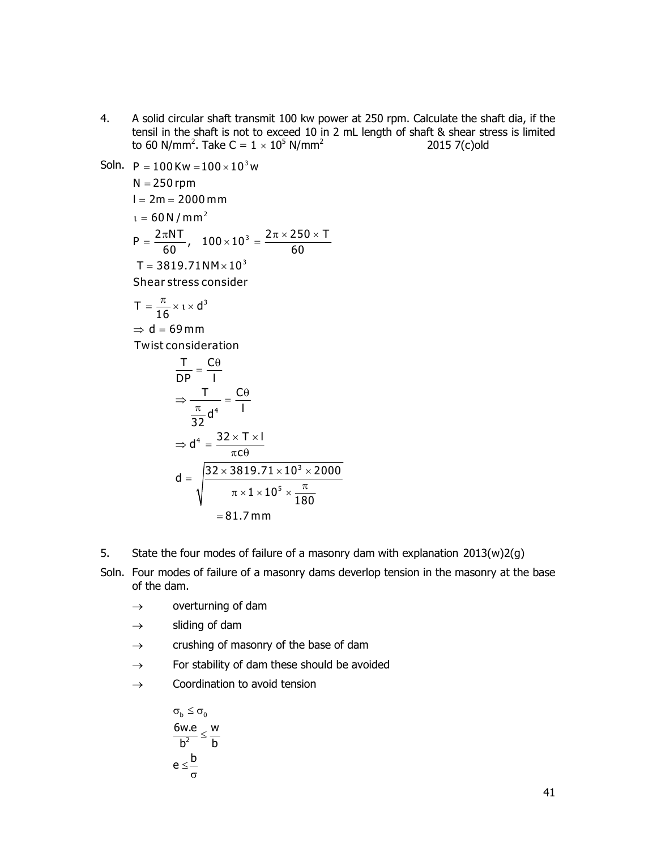4. A solid circular shaft transmit 100 kw power at 250 rpm. Calculate the shaft dia, if the tensil in the shaft is not to exceed 10 in 2 mL length of shaft & shear stress is limited to 60 N/mm<sup>2</sup>. Take C =  $1 \times 10^5$  N/mm<sup>2</sup> 2015 7(c)old

P = 100 Kw = 100×10<sup>3</sup>w  
\nN = 250 rpm  
\nI = 2m = 2000 mm  
\nt = 60 N/mm<sup>2</sup>  
\nP = 
$$
\frac{2\pi NT}{60}
$$
, 100×10<sup>3</sup> =  $\frac{2\pi \times 250 \times T}{60}$   
\nT = 3819.71NM×10<sup>3</sup>  
\nShear stress consider  
\nT =  $\frac{\pi}{16} \times \iota \times d^3$   
\n $\Rightarrow d = 69 mm$   
\nTwist consideration  
\n
$$
\frac{T}{DP} = \frac{C\theta}{I}
$$
\n
$$
\Rightarrow \frac{T}{\frac{\pi}{32}d^4} = \frac{C\theta}{I}
$$
\n
$$
\Rightarrow d^4 = \frac{32 \times T \times I}{\pi c\theta}
$$
\n
$$
d = \sqrt{\frac{32 \times 3819.71 \times 10^3 \times 2000}{\pi \times 1 \times 10^5 \times \frac{\pi}{180}}}
$$
\n= 81.7 mm

Soln.

- 5. State the four modes of failure of a masonry dam with explanation 2013(w)2(g)
- Soln. Four modes of failure of a masonry dams deverlop tension in the masonry at the base of the dam.
	- $\rightarrow$  overturning of dam
	- $\rightarrow$  sliding of dam
	- $\rightarrow$  crushing of masonry of the base of dam
	- $\rightarrow$  For stability of dam these should be avoided
	- $\rightarrow$  Coordination to avoid tension

$$
\sigma_b \leq \sigma_0
$$
  
\n
$$
\frac{6w.e}{b^2} \leq \frac{w}{b}
$$
  
\n
$$
e \leq \frac{b}{\sigma}
$$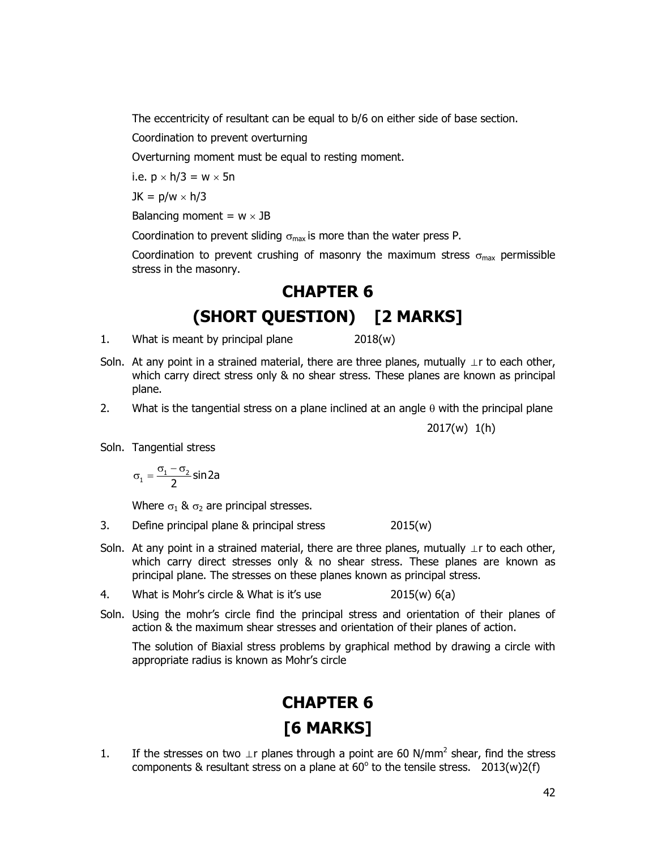The eccentricity of resultant can be equal to b/6 on either side of base section.

Coordination to prevent overturning

Overturning moment must be equal to resting moment.

i.e.  $p \times h/3 = w \times 5n$ 

 $JK = p/w \times h/3$ 

Balancing moment =  $w \times JB$ 

Coordination to prevent sliding  $\sigma_{\text{max}}$  is more than the water press P.

Coordination to prevent crushing of masonry the maximum stress  $\sigma_{\text{max}}$  permissible stress in the masonry.

# CHAPTER 6 (SHORT QUESTION) [2 MARKS]

1. What is meant by principal plane  $2018(w)$ 

- Soln. At any point in a strained material, there are three planes, mutually  $\perp$ r to each other, which carry direct stress only & no shear stress. These planes are known as principal plane.
- 2. What is the tangential stress on a plane inclined at an angle  $\theta$  with the principal plane

2017(w) 1(h)

Soln. Tangential stress

$$
\sigma_1=\frac{\sigma_1-\sigma_2}{2}\,sin2a
$$

Where  $\sigma_1$  &  $\sigma_2$  are principal stresses.

- 3. Define principal plane & principal stress 2015(w)
- Soln. At any point in a strained material, there are three planes, mutually  $\perp$ r to each other, which carry direct stresses only & no shear stress. These planes are known as principal plane. The stresses on these planes known as principal stress.
- 4. What is Mohr's circle & What is it's use 2015(w) 6(a)
- Soln. Using the mohr's circle find the principal stress and orientation of their planes of action & the maximum shear stresses and orientation of their planes of action.

 The solution of Biaxial stress problems by graphical method by drawing a circle with appropriate radius is known as Mohr's circle

# CHAPTER 6 [6 MARKS]

1. If the stresses on two  $\perp$ r planes through a point are 60 N/mm<sup>2</sup> shear, find the stress components & resultant stress on a plane at  $60^{\circ}$  to the tensile stress. 2013(w)2(f)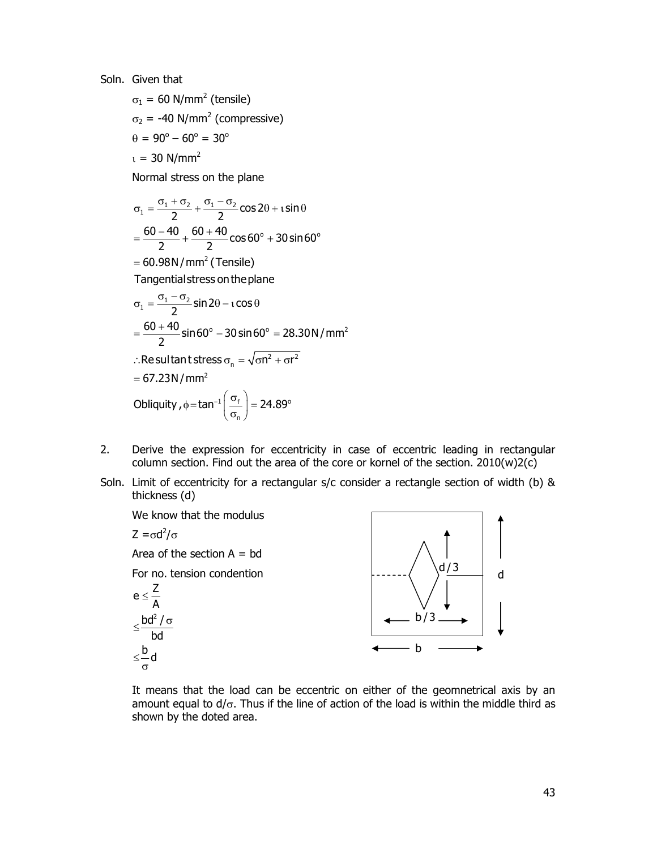Soln. Given that

 $\sigma_1$  = 60 N/mm<sup>2</sup> (tensile)  $\sigma_2$  = -40 N/mm<sup>2</sup> (compressive)  $\theta = 90^{\circ} - 60^{\circ} = 30^{\circ}$  $t = 30$  N/mm<sup>2</sup>

Normal stress on the plane

$$
\sigma_1 = \frac{\sigma_1 + \sigma_2}{2} + \frac{\sigma_1 - \sigma_2}{2}\cos 2\theta + i \sin \theta
$$
  
=  $\frac{60 - 40}{2} + \frac{60 + 40}{2}\cos 60^\circ + 30 \sin 60^\circ$   
= 60.98 N/mm<sup>2</sup> (Tensile)  
Tangential stress on the plane  

$$
\sigma_1 = \frac{\sigma_1 - \sigma_2}{2}\sin 2\theta - i \cos \theta
$$
  
=  $\frac{60 + 40}{2}\sin 60^\circ - 30 \sin 60^\circ = 28.30 \text{ N/mm}^2$   

$$
\therefore \text{Resultant stress } \sigma_n = \sqrt{\sigma n^2 + \sigma r^2}
$$
  
= 67.23 N/mm<sup>2</sup>  
Obliquity,  $\phi = \tan^{-1} \left(\frac{\sigma_f}{\sigma_n}\right) = 24.89^\circ$ 

- 2. Derive the expression for eccentricity in case of eccentric leading in rectangular column section. Find out the area of the core or kornel of the section. 2010(w)2(c)
- Soln. Limit of eccentricity for a rectangular s/c consider a rectangle section of width (b) & thickness (d)

![](_page_42_Figure_6.jpeg)

 It means that the load can be eccentric on either of the geomnetrical axis by an amount equal to  $d/\sigma$ . Thus if the line of action of the load is within the middle third as shown by the doted area.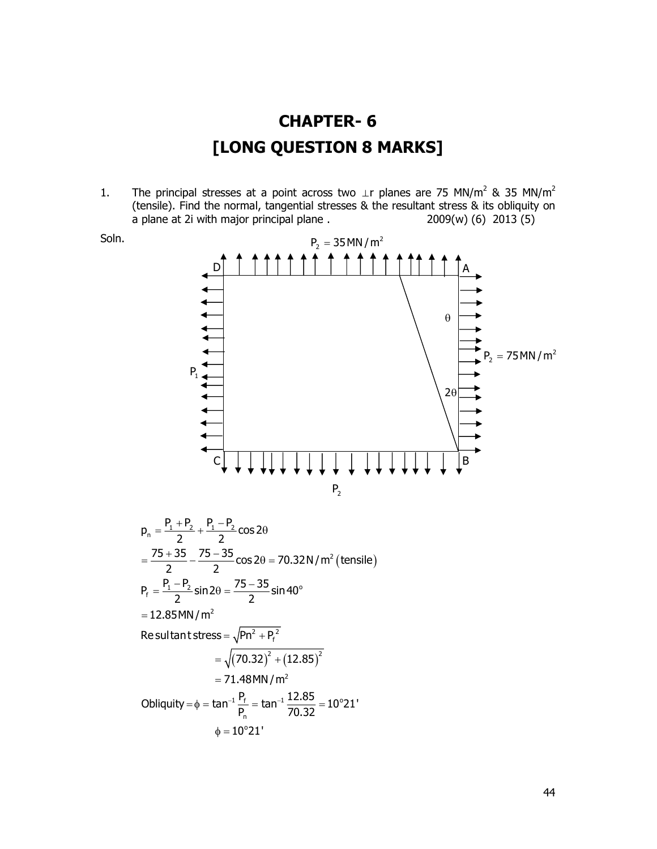![](_page_43_Figure_0.jpeg)

1. The principal stresses at a point across two  $\perp$ r planes are 75 MN/m<sup>2</sup> & 35 MN/m<sup>2</sup> (tensile). Find the normal, tangential stresses & the resultant stress & its obliquity on a plane at 2i with major principal plane . 2009(w) (6) 2013 (5)

![](_page_43_Figure_2.jpeg)

$$
p_n = \frac{P_1 + P_2}{2} + \frac{P_1 - P_2}{2} \cos 2\theta
$$
  
=  $\frac{75 + 35}{2} - \frac{75 - 35}{2} \cos 2\theta = 70.32 \text{ N/m}^2 \text{ (tensile)}$   

$$
P_f = \frac{P_1 - P_2}{2} \sin 2\theta = \frac{75 - 35}{2} \sin 40^\circ
$$
  
= 12.85MN/m<sup>2</sup>  
Resultant stress =  $\sqrt{Pn^2 + P_f^2}$   
=  $\sqrt{(70.32)^2 + (12.85)^2}$   
= 71.48MN/m<sup>2</sup>  
Obliquity =  $\phi = \tan^{-1} \frac{P_f}{P_n} = \tan^{-1} \frac{12.85}{70.32} = 10^\circ 21'$   
 $\phi = 10^\circ 21'$   
 $\phi = 10^\circ 21'$